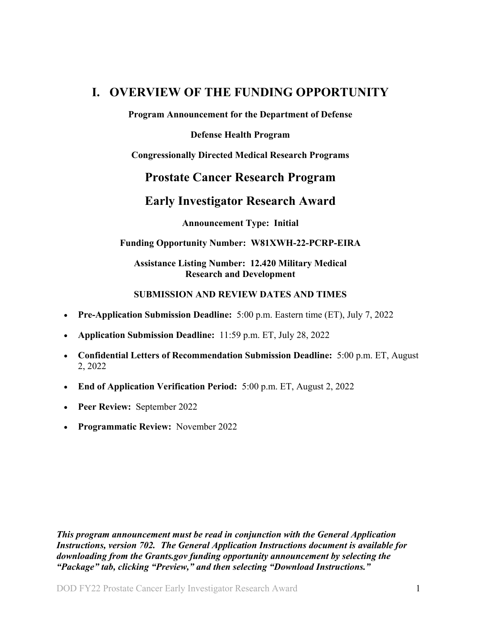# <span id="page-0-0"></span>**I. OVERVIEW OF THE FUNDING OPPORTUNITY**

**Program Announcement for the Department of Defense**

**Defense Health Program**

**Congressionally Directed Medical Research Programs**

## **Prostate Cancer Research Program**

## **Early Investigator Research Award**

**Announcement Type: Initial**

### **Funding Opportunity Number: W81XWH-22-PCRP-EIRA**

### **Assistance Listing Number: 12.420 Military Medical Research and Development**

### **SUBMISSION AND REVIEW DATES AND TIMES**

- <span id="page-0-2"></span>• **Pre-Application Submission Deadline:** 5:00 p.m. Eastern time (ET), July 7, 2022
- **Application Submission Deadline:** 11:59 p.m. ET, July 28, 2022
- **Confidential Letters of Recommendation Submission Deadline:** 5:00 p.m. ET, August 2, 2022
- <span id="page-0-1"></span>• **End of Application Verification Period:** 5:00 p.m. ET, August 2, 2022
- **Peer Review:** September 2022
- **Programmatic Review:** November 2022

*This program announcement must be read in conjunction with the General Application Instructions, version 702.**The General Application Instructions document is available for downloading from the Grants.gov funding opportunity announcement by selecting the "Package" tab, clicking "Preview," and then selecting "Download Instructions."*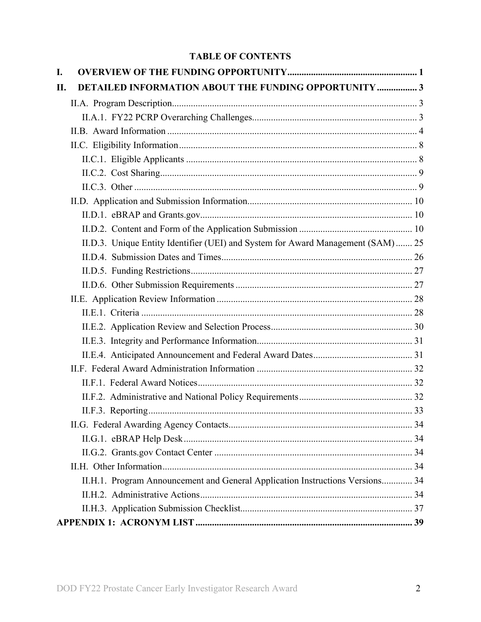## **TABLE OF CONTENTS**

| I. |                                                                                  |  |
|----|----------------------------------------------------------------------------------|--|
| П. | <b>DETAILED INFORMATION ABOUT THE FUNDING OPPORTUNITY  3</b>                     |  |
|    |                                                                                  |  |
|    |                                                                                  |  |
|    |                                                                                  |  |
|    |                                                                                  |  |
|    |                                                                                  |  |
|    |                                                                                  |  |
|    |                                                                                  |  |
|    |                                                                                  |  |
|    |                                                                                  |  |
|    |                                                                                  |  |
|    | II.D.3. Unique Entity Identifier (UEI) and System for Award Management (SAM)  25 |  |
|    |                                                                                  |  |
|    |                                                                                  |  |
|    |                                                                                  |  |
|    |                                                                                  |  |
|    |                                                                                  |  |
|    |                                                                                  |  |
|    |                                                                                  |  |
|    |                                                                                  |  |
|    |                                                                                  |  |
|    |                                                                                  |  |
|    |                                                                                  |  |
|    |                                                                                  |  |
|    |                                                                                  |  |
|    |                                                                                  |  |
|    |                                                                                  |  |
|    |                                                                                  |  |
|    | II.H.1. Program Announcement and General Application Instructions Versions 34    |  |
|    |                                                                                  |  |
|    |                                                                                  |  |
|    |                                                                                  |  |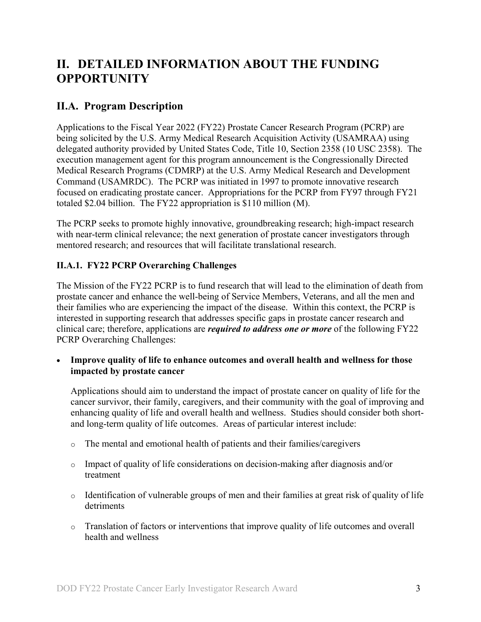# <span id="page-2-0"></span>**II. DETAILED INFORMATION ABOUT THE FUNDING OPPORTUNITY**

## <span id="page-2-1"></span>**II.A. Program Description**

Applications to the Fiscal Year 2022 (FY22) Prostate Cancer Research Program (PCRP) are being solicited by the U.S. Army Medical Research Acquisition Activity (USAMRAA) using delegated authority provided by United States Code, Title 10, Section 2358 (10 USC 2358). The execution management agent for this program announcement is the Congressionally Directed Medical Research Programs (CDMRP) at the U.S. Army Medical Research and Development Command (USAMRDC). The PCRP was initiated in 1997 to promote innovative research focused on eradicating prostate cancer. Appropriations for the PCRP from FY97 through FY21 totaled \$2.04 billion. The FY22 appropriation is \$110 million (M).

The PCRP seeks to promote highly innovative, groundbreaking research; high-impact research with near-term clinical relevance; the next generation of prostate cancer investigators through mentored research; and resources that will facilitate translational research.

## <span id="page-2-2"></span>**II.A.1. FY22 PCRP Overarching Challenges**

The Mission of the FY22 PCRP is to fund research that will lead to the elimination of death from prostate cancer and enhance the well-being of Service Members, Veterans, and all the men and their families who are experiencing the impact of the disease. Within this context, the PCRP is interested in supporting research that addresses specific gaps in prostate cancer research and clinical care; therefore, applications are *required to address one or more* of the following FY22 PCRP Overarching Challenges:

• **Improve quality of life to enhance outcomes and overall health and wellness for those impacted by prostate cancer**

Applications should aim to understand the impact of prostate cancer on quality of life for the cancer survivor, their family, caregivers, and their community with the goal of improving and enhancing quality of life and overall health and wellness. Studies should consider both shortand long-term quality of life outcomes. Areas of particular interest include:

- o The mental and emotional health of patients and their families/caregivers
- o Impact of quality of life considerations on decision-making after diagnosis and/or treatment
- o Identification of vulnerable groups of men and their families at great risk of quality of life detriments
- o Translation of factors or interventions that improve quality of life outcomes and overall health and wellness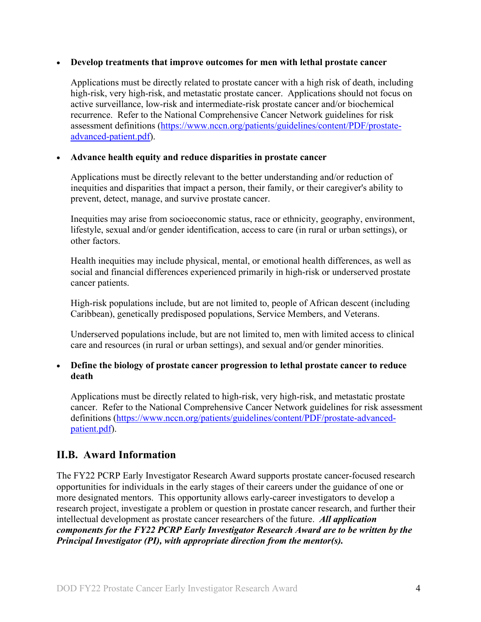#### • **Develop treatments that improve outcomes for men with lethal prostate cancer**

Applications must be directly related to prostate cancer with a high risk of death, including high-risk, very high-risk, and metastatic prostate cancer. Applications should not focus on active surveillance, low-risk and intermediate-risk prostate cancer and/or biochemical recurrence. Refer to the National Comprehensive Cancer Network guidelines for risk assessment definitions [\(https://www.nccn.org/patients/guidelines/content/PDF/prostate](https://www.nccn.org/patients/guidelines/content/PDF/prostate-advanced-patient.pdf)[advanced-patient.pdf\)](https://www.nccn.org/patients/guidelines/content/PDF/prostate-advanced-patient.pdf).

#### • **Advance health equity and reduce disparities in prostate cancer**

Applications must be directly relevant to the better understanding and/or reduction of inequities and disparities that impact a person, their family, or their caregiver's ability to prevent, detect, manage, and survive prostate cancer.

Inequities may arise from socioeconomic status, race or ethnicity, geography, environment, lifestyle, sexual and/or gender identification, access to care (in rural or urban settings), or other factors.

Health inequities may include physical, mental, or emotional health differences, as well as social and financial differences experienced primarily in high-risk or underserved prostate cancer patients.

High-risk populations include, but are not limited to, people of African descent (including Caribbean), genetically predisposed populations, Service Members, and Veterans.

Underserved populations include, but are not limited to, men with limited access to clinical care and resources (in rural or urban settings), and sexual and/or gender minorities.

#### • **Define the biology of prostate cancer progression to lethal prostate cancer to reduce death**

Applications must be directly related to high-risk, very high-risk, and metastatic prostate cancer. Refer to the National Comprehensive Cancer Network guidelines for risk assessment definitions [\(https://www.nccn.org/patients/guidelines/content/PDF/prostate-advanced](https://www.nccn.org/patients/guidelines/content/PDF/prostate-advanced-patient.pdf)[patient.pdf\)](https://www.nccn.org/patients/guidelines/content/PDF/prostate-advanced-patient.pdf).

## <span id="page-3-0"></span>**II.B. Award Information**

The FY22 PCRP Early Investigator Research Award supports prostate cancer-focused research opportunities for individuals in the early stages of their careers under the guidance of one or more designated mentors. This opportunity allows early-career investigators to develop a research project, investigate a problem or question in prostate cancer research, and further their intellectual development as prostate cancer researchers of the future. *All application components for the FY22 PCRP Early Investigator Research Award are to be written by the Principal Investigator (PI), with appropriate direction from the mentor(s).*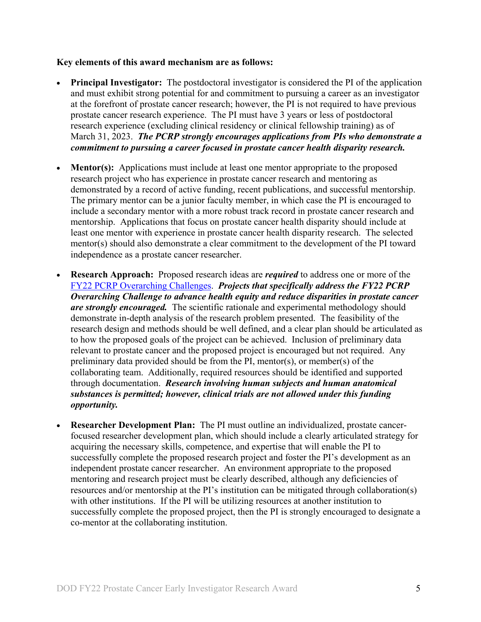#### **Key elements of this award mechanism are as follows:**

- **Principal Investigator:** The postdoctoral investigator is considered the PI of the application and must exhibit strong potential for and commitment to pursuing a career as an investigator at the forefront of prostate cancer research; however, the PI is not required to have previous prostate cancer research experience. The PI must have 3 years or less of postdoctoral research experience (excluding clinical residency or clinical fellowship training) as of March 31, 2023. *The PCRP strongly encourages applications from PIs who demonstrate a commitment to pursuing a career focused in prostate cancer health disparity research.*
- **Mentor(s):** Applications must include at least one mentor appropriate to the proposed research project who has experience in prostate cancer research and mentoring as demonstrated by a record of active funding, recent publications, and successful mentorship. The primary mentor can be a junior faculty member, in which case the PI is encouraged to include a secondary mentor with a more robust track record in prostate cancer research and mentorship. Applications that focus on prostate cancer health disparity should include at least one mentor with experience in prostate cancer health disparity research. The selected mentor(s) should also demonstrate a clear commitment to the development of the PI toward independence as a prostate cancer researcher.
- **Research Approach:** Proposed research ideas are *required* to address one or more of the [FY22 PCRP Overarching Challenges.](#page-2-2) *Projects that specifically address the FY22 PCRP Overarching Challenge to advance health equity and reduce disparities in prostate cancer are strongly encouraged.* The scientific rationale and experimental methodology should demonstrate in-depth analysis of the research problem presented. The feasibility of the research design and methods should be well defined, and a clear plan should be articulated as to how the proposed goals of the project can be achieved. Inclusion of preliminary data relevant to prostate cancer and the proposed project is encouraged but not required. Any preliminary data provided should be from the PI, mentor(s), or member(s) of the collaborating team. Additionally, required resources should be identified and supported through documentation. *Research involving human subjects and human anatomical substances is permitted; however, clinical trials are not allowed under this funding opportunity.*
- **Researcher Development Plan:** The PI must outline an individualized, prostate cancerfocused researcher development plan, which should include a clearly articulated strategy for acquiring the necessary skills, competence, and expertise that will enable the PI to successfully complete the proposed research project and foster the PI's development as an independent prostate cancer researcher. An environment appropriate to the proposed mentoring and research project must be clearly described, although any deficiencies of resources and/or mentorship at the PI's institution can be mitigated through collaboration(s) with other institutions. If the PI will be utilizing resources at another institution to successfully complete the proposed project, then the PI is strongly encouraged to designate a co-mentor at the collaborating institution.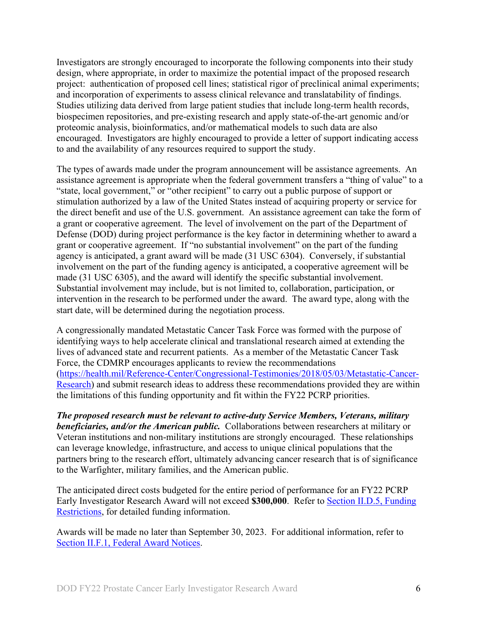Investigators are strongly encouraged to incorporate the following components into their study design, where appropriate, in order to maximize the potential impact of the proposed research project: authentication of proposed cell lines; statistical rigor of preclinical animal experiments; and incorporation of experiments to assess clinical relevance and translatability of findings. Studies utilizing data derived from large patient studies that include long-term health records, biospecimen repositories, and pre-existing research and apply state-of-the-art genomic and/or proteomic analysis, bioinformatics, and/or mathematical models to such data are also encouraged. Investigators are highly encouraged to provide a letter of support indicating access to and the availability of any resources required to support the study.

The types of awards made under the program announcement will be assistance agreements. An assistance agreement is appropriate when the federal government transfers a "thing of value" to a "state, local government," or "other recipient" to carry out a public purpose of support or stimulation authorized by a law of the United States instead of acquiring property or service for the direct benefit and use of the U.S. government. An assistance agreement can take the form of a grant or cooperative agreement. The level of involvement on the part of the Department of Defense (DOD) during project performance is the key factor in determining whether to award a grant or cooperative agreement. If "no substantial involvement" on the part of the funding agency is anticipated, a grant award will be made (31 USC 6304). Conversely, if substantial involvement on the part of the funding agency is anticipated, a cooperative agreement will be made (31 USC 6305), and the award will identify the specific substantial involvement. Substantial involvement may include, but is not limited to, collaboration, participation, or intervention in the research to be performed under the award. The award type, along with the start date, will be determined during the negotiation process.

A congressionally mandated Metastatic Cancer Task Force was formed with the purpose of identifying ways to help accelerate clinical and translational research aimed at extending the lives of advanced state and recurrent patients. As a member of the Metastatic Cancer Task Force, the CDMRP encourages applicants to review the recommendations [\(https://health.mil/Reference-Center/Congressional-Testimonies/2018/05/03/Metastatic-Cancer-](https://health.mil/Reference-Center/Congressional-Testimonies/2018/05/03/Metastatic-Cancer-Research)[Research\)](https://health.mil/Reference-Center/Congressional-Testimonies/2018/05/03/Metastatic-Cancer-Research) and submit research ideas to address these recommendations provided they are within the limitations of this funding opportunity and fit within the FY22 PCRP priorities.

*The proposed research must be relevant to active-duty Service Members, Veterans, military beneficiaries, and/or the American public.* Collaborations between researchers at military or Veteran institutions and non-military institutions are strongly encouraged. These relationships can leverage knowledge, infrastructure, and access to unique clinical populations that the partners bring to the research effort, ultimately advancing cancer research that is of significance to the Warfighter, military families, and the American public.

The anticipated direct costs budgeted for the entire period of performance for an FY22 PCRP Early Investigator Research Award will not exceed **\$300,000**. Refer to Section [II.D.5, Funding](#page-26-0)  [Restrictions,](#page-26-0) for detailed funding information.

Awards will be made no later than September 30, 2023. For additional information, refer to [Section II.F.1, Federal Award Notices.](#page-31-1)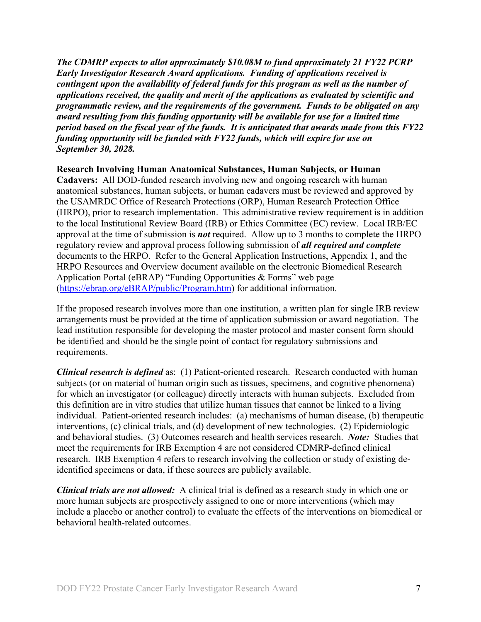*The CDMRP expects to allot approximately \$10.08M to fund approximately 21 FY22 PCRP Early Investigator Research Award applications. Funding of applications received is contingent upon the availability of federal funds for this program as well as the number of applications received, the quality and merit of the applications as evaluated by scientific and programmatic review, and the requirements of the government. Funds to be obligated on any award resulting from this funding opportunity will be available for use for a limited time period based on the fiscal year of the funds. It is anticipated that awards made from this FY22 funding opportunity will be funded with FY22 funds, which will expire for use on September 30, 2028.*

#### **Research Involving Human Anatomical Substances, Human Subjects, or Human**

**Cadavers:** All DOD-funded research involving new and ongoing research with human anatomical substances, human subjects, or human cadavers must be reviewed and approved by the USAMRDC Office of Research Protections (ORP), Human Research Protection Office (HRPO), prior to research implementation. This administrative review requirement is in addition to the local Institutional Review Board (IRB) or Ethics Committee (EC) review. Local IRB/EC approval at the time of submission is *not* required. Allow up to 3 months to complete the HRPO regulatory review and approval process following submission of *all required and complete* documents to the HRPO. Refer to the General Application Instructions, Appendix 1, and the HRPO Resources and Overview document available on the electronic Biomedical Research Application Portal (eBRAP) "Funding Opportunities & Forms" web page [\(https://ebrap.org/eBRAP/public/Program.htm\)](https://ebrap.org/eBRAP/public/Program.htm) for additional information.

If the proposed research involves more than one institution, a written plan for single IRB review arrangements must be provided at the time of application submission or award negotiation. The lead institution responsible for developing the master protocol and master consent form should be identified and should be the single point of contact for regulatory submissions and requirements.

*Clinical research is defined* as: (1) Patient-oriented research. Research conducted with human subjects (or on material of human origin such as tissues, specimens, and cognitive phenomena) for which an investigator (or colleague) directly interacts with human subjects. Excluded from this definition are in vitro studies that utilize human tissues that cannot be linked to a living individual. Patient-oriented research includes: (a) mechanisms of human disease, (b) therapeutic interventions, (c) clinical trials, and (d) development of new technologies. (2) Epidemiologic and behavioral studies. (3) Outcomes research and health services research. *Note:* Studies that meet the requirements for IRB Exemption 4 are not considered CDMRP-defined clinical research. IRB Exemption 4 refers to research involving the collection or study of existing deidentified specimens or data, if these sources are publicly available.

*Clinical trials are not allowed:* A clinical trial is defined as a research study in which one or more human subjects are prospectively assigned to one or more interventions (which may include a placebo or another control) to evaluate the effects of the interventions on biomedical or behavioral health-related outcomes.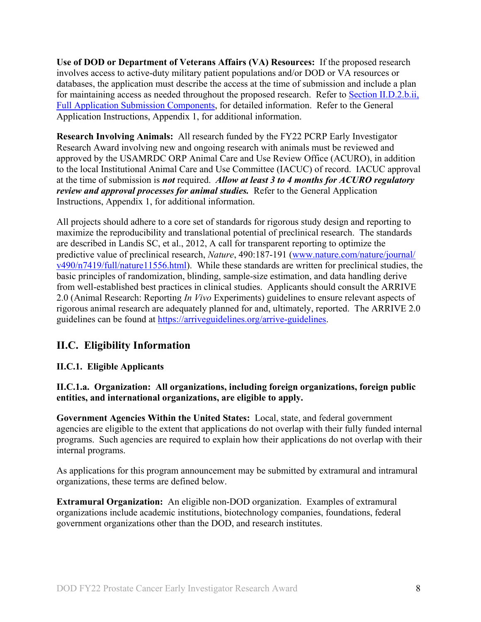**Use of DOD or Department of Veterans Affairs (VA) Resources:** If the proposed research involves access to active-duty military patient populations and/or DOD or VA resources or databases, the application must describe the access at the time of submission and include a plan for maintaining access as needed throughout the proposed research. Refer to Section II.D.2.b.ii, [Full Application Submission Components,](#page-14-0) for detailed information. Refer to the General Application Instructions, Appendix 1, for additional information.

**Research Involving Animals:** All research funded by the FY22 PCRP Early Investigator Research Award involving new and ongoing research with animals must be reviewed and approved by the USAMRDC ORP Animal Care and Use Review Office (ACURO), in addition to the local Institutional Animal Care and Use Committee (IACUC) of record. IACUC approval at the time of submission is *not* required. *Allow at least 3 to 4 months for ACURO regulatory review and approval processes for animal studies.* Refer to the General Application Instructions, Appendix 1, for additional information.

All projects should adhere to a core set of standards for rigorous study design and reporting to maximize the reproducibility and translational potential of preclinical research. The standards are described in Landis SC, et al., 2012, A call for transparent reporting to optimize the predictive value of preclinical research, *Nature*, 490:187-191 [\(www.nature.com/nature/journal/](http://www.nature.com/nature/journal/v490/n7419/full/nature11556.html) [v490/n7419/full/nature11556.html\)](http://www.nature.com/nature/journal/v490/n7419/full/nature11556.html). While these standards are written for preclinical studies, the basic principles of randomization, blinding, sample-size estimation, and data handling derive from well-established best practices in clinical studies. Applicants should consult the ARRIVE 2.0 (Animal Research: Reporting *In Vivo* Experiments) guidelines to ensure relevant aspects of rigorous animal research are adequately planned for and, ultimately, reported. The ARRIVE 2.0 guidelines can be found at [https://arriveguidelines.org/arrive-guidelines.](https://arriveguidelines.org/arrive-guidelines)

## <span id="page-7-0"></span>**II.C. Eligibility Information**

## <span id="page-7-1"></span>**II.C.1. Eligible Applicants**

#### **II.C.1.a. Organization: All organizations, including foreign organizations, foreign public entities, and international organizations, are eligible to apply.**

**Government Agencies Within the United States:** Local, state, and federal government agencies are eligible to the extent that applications do not overlap with their fully funded internal programs. Such agencies are required to explain how their applications do not overlap with their internal programs.

As applications for this program announcement may be submitted by extramural and intramural organizations, these terms are defined below.

**Extramural Organization:** An eligible non-DOD organization. Examples of extramural organizations include academic institutions, biotechnology companies, foundations, federal government organizations other than the DOD, and research institutes.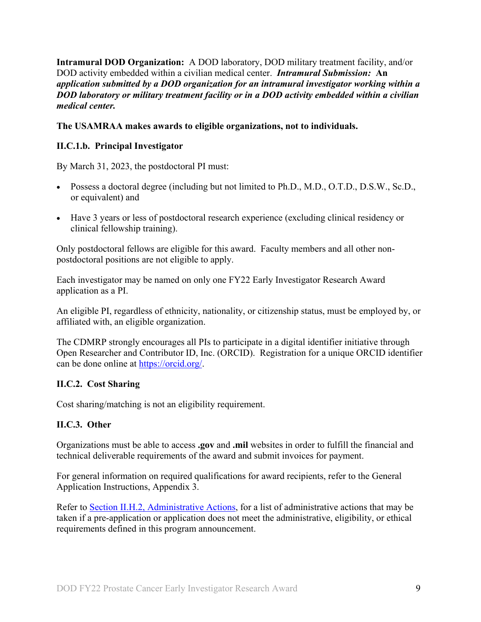**Intramural DOD Organization:** A DOD laboratory, DOD military treatment facility, and/or DOD activity embedded within a civilian medical center. *Intramural Submission:* **An**  *application submitted by a DOD organization for an intramural investigator working within a DOD laboratory or military treatment facility or in a DOD activity embedded within a civilian medical center.*

#### **The USAMRAA makes awards to eligible organizations, not to individuals.**

### **II.C.1.b. Principal Investigator**

By March 31, 2023, the postdoctoral PI must:

- Possess a doctoral degree (including but not limited to Ph.D., M.D., O.T.D., D.S.W., Sc.D., or equivalent) and
- Have 3 years or less of postdoctoral research experience (excluding clinical residency or clinical fellowship training).

Only postdoctoral fellows are eligible for this award. Faculty members and all other nonpostdoctoral positions are not eligible to apply.

Each investigator may be named on only one FY22 Early Investigator Research Award application as a PI.

An eligible PI, regardless of ethnicity, nationality, or citizenship status, must be employed by, or affiliated with, an eligible organization.

The CDMRP strongly encourages all PIs to participate in a digital identifier initiative through Open Researcher and Contributor ID, Inc. (ORCID). Registration for a unique ORCID identifier can be done online at [https://orcid.org/.](https://orcid.org/)

#### <span id="page-8-0"></span>**II.C.2. Cost Sharing**

Cost sharing/matching is not an eligibility requirement.

#### <span id="page-8-1"></span>**II.C.3. Other**

Organizations must be able to access **.gov** and **.mil** websites in order to fulfill the financial and technical deliverable requirements of the award and submit invoices for payment.

For general information on required qualifications for award recipients, refer to the General Application Instructions, Appendix 3.

Refer to [Section II.H.2, Administrative Actions,](#page-33-5) for a list of administrative actions that may be taken if a pre-application or application does not meet the administrative, eligibility, or ethical requirements defined in this program announcement.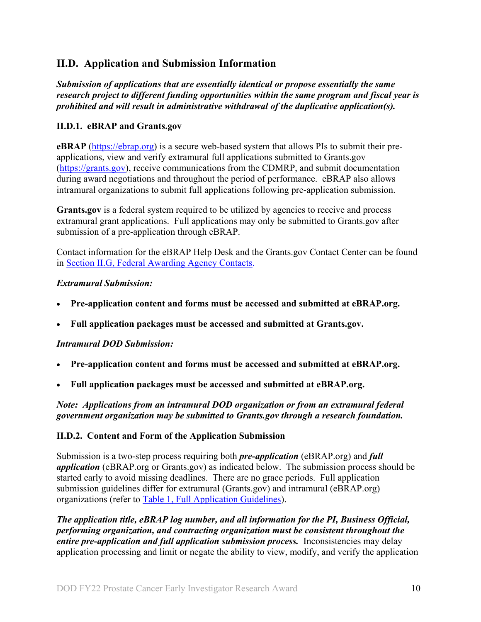## <span id="page-9-0"></span>**II.D. Application and Submission Information**

*Submission of applications that are essentially identical or propose essentially the same research project to different funding opportunities within the same program and fiscal year is prohibited and will result in administrative withdrawal of the duplicative application(s).*

### <span id="page-9-1"></span>**II.D.1. eBRAP and Grants.gov**

**eBRAP** [\(https://ebrap.org\)](https://ebrap.org/) is a secure web-based system that allows PIs to submit their preapplications, view and verify extramural full applications submitted to Grants.gov [\(https://grants.gov\)](https://grants.gov/), receive communications from the CDMRP, and submit documentation during award negotiations and throughout the period of performance. eBRAP also allows intramural organizations to submit full applications following pre-application submission.

Grants.gov is a federal system required to be utilized by agencies to receive and process extramural grant applications. Full applications may only be submitted to Grants.gov after submission of a pre-application through eBRAP.

Contact information for the eBRAP Help Desk and the Grants.gov Contact Center can be found in [Section II.G, Federal Awarding Agency Contacts.](#page-33-0)

#### *Extramural Submission:*

- **Pre-application content and forms must be accessed and submitted at eBRAP.org.**
- **Full application packages must be accessed and submitted at Grants.gov.**

## *Intramural DOD Submission:*

- **Pre-application content and forms must be accessed and submitted at eBRAP.org.**
- **Full application packages must be accessed and submitted at eBRAP.org.**

*Note: Applications from an intramural DOD organization or from an extramural federal government organization may be submitted to Grants.gov through a research foundation.*

#### <span id="page-9-2"></span>**II.D.2. Content and Form of the Application Submission**

Submission is a two-step process requiring both *pre-application* (eBRAP.org) and *full application* (eBRAP.org or Grants.gov) as indicated below. The submission process should be started early to avoid missing deadlines. There are no grace periods. Full application submission guidelines differ for extramural (Grants.gov) and intramural (eBRAP.org) organizations (refer to [Table 1, Full Application Guidelines\)](#page-12-0).

*The application title, eBRAP log number, and all information for the PI, Business Official, performing organization, and contracting organization must be consistent throughout the entire pre-application and full application submission process.* Inconsistencies may delay application processing and limit or negate the ability to view, modify, and verify the application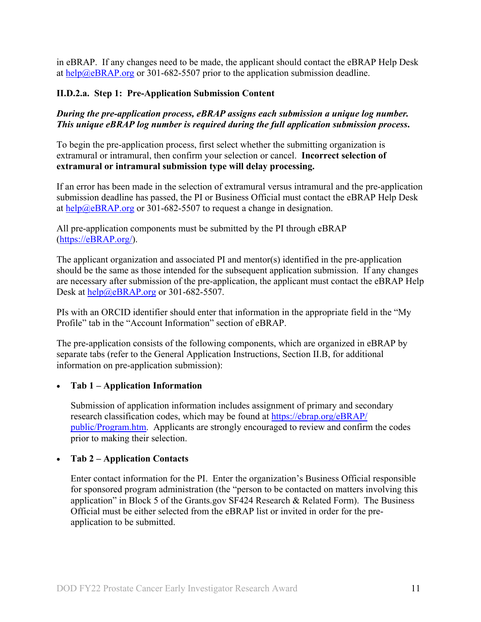in eBRAP. If any changes need to be made, the applicant should contact the eBRAP Help Desk at [help@eBRAP.org](mailto:help@eBRAP.org) or 301-682-5507 prior to the application submission deadline.

#### **II.D.2.a. Step 1: Pre-Application Submission Content**

*During the pre-application process, eBRAP assigns each submission a unique log number. This unique eBRAP log number is required during the full application submission process***.**

To begin the pre-application process, first select whether the submitting organization is extramural or intramural, then confirm your selection or cancel. **Incorrect selection of extramural or intramural submission type will delay processing.**

If an error has been made in the selection of extramural versus intramural and the pre-application submission deadline has passed, the PI or Business Official must contact the eBRAP Help Desk at [help@eBRAP.org](mailto:help@eBRAP.org) or 301-682-5507 to request a change in designation.

All pre-application components must be submitted by the PI through eBRAP [\(https://eBRAP.org/\)](https://ebrap.org/).

The applicant organization and associated PI and mentor(s) identified in the pre-application should be the same as those intended for the subsequent application submission. If any changes are necessary after submission of the pre-application, the applicant must contact the eBRAP Help Desk at [help@eBRAP.org](mailto:help@eBRAP.org) or 301-682-5507.

PIs with an ORCID identifier should enter that information in the appropriate field in the "My Profile" tab in the "Account Information" section of eBRAP.

The pre-application consists of the following components, which are organized in eBRAP by separate tabs (refer to the General Application Instructions, Section II.B, for additional information on pre-application submission):

#### • **Tab 1 – Application Information**

Submission of application information includes assignment of primary and secondary research classification codes, which may be found at [https://ebrap.org/eBRAP/](https://ebrap.org/eBRAP/public/Program.htm) [public/Program.htm.](https://ebrap.org/eBRAP/public/Program.htm) Applicants are strongly encouraged to review and confirm the codes prior to making their selection.

#### • **Tab 2 – Application Contacts**

Enter contact information for the PI. Enter the organization's Business Official responsible for sponsored program administration (the "person to be contacted on matters involving this application" in Block 5 of the Grants.gov SF424 Research & Related Form). The Business Official must be either selected from the eBRAP list or invited in order for the preapplication to be submitted.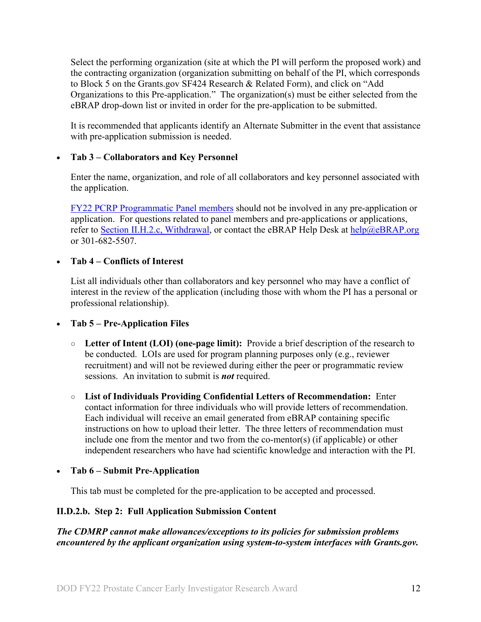Select the performing organization (site at which the PI will perform the proposed work) and the contracting organization (organization submitting on behalf of the PI, which corresponds to Block 5 on the Grants.gov SF424 Research & Related Form), and click on "Add Organizations to this Pre-application." The organization(s) must be either selected from the eBRAP drop-down list or invited in order for the pre-application to be submitted.

It is recommended that applicants identify an Alternate Submitter in the event that assistance with pre-application submission is needed.

### • **Tab 3 – Collaborators and Key Personnel**

Enter the name, organization, and role of all collaborators and key personnel associated with the application.

[FY22 PCRP Programmatic Panel members](https://cdmrp.army.mil/pcrp/panels/panel22) should not be involved in any pre-application or application. For questions related to panel members and pre-applications or applications, refer to [Section II.H.2.c, Withdrawal,](#page-34-0) or contact the eBRAP Help Desk at [help@eBRAP.org](mailto:help@eBRAP.org) or 301-682-5507.

#### • **Tab 4 – Conflicts of Interest**

List all individuals other than collaborators and key personnel who may have a conflict of interest in the review of the application (including those with whom the PI has a personal or professional relationship).

• **Tab 5 – Pre-Application Files**

- **○ Letter of Intent (LOI) (one-page limit):** Provide a brief description of the research to be conducted. LOIs are used for program planning purposes only (e.g., reviewer recruitment) and will not be reviewed during either the peer or programmatic review sessions. An invitation to submit is *not* required.
- **○ List of Individuals Providing Confidential Letters of Recommendation:** Enter contact information for three individuals who will provide letters of recommendation. Each individual will receive an email generated from eBRAP containing specific instructions on how to upload their letter. The three letters of recommendation must include one from the mentor and two from the co-mentor(s) (if applicable) or other independent researchers who have had scientific knowledge and interaction with the PI.

• **Tab 6 – Submit Pre-Application**

This tab must be completed for the pre-application to be accepted and processed.

## **II.D.2.b. Step 2: Full Application Submission Content**

*The CDMRP cannot make allowances/exceptions to its policies for submission problems encountered by the applicant organization using system-to-system interfaces with Grants.gov.*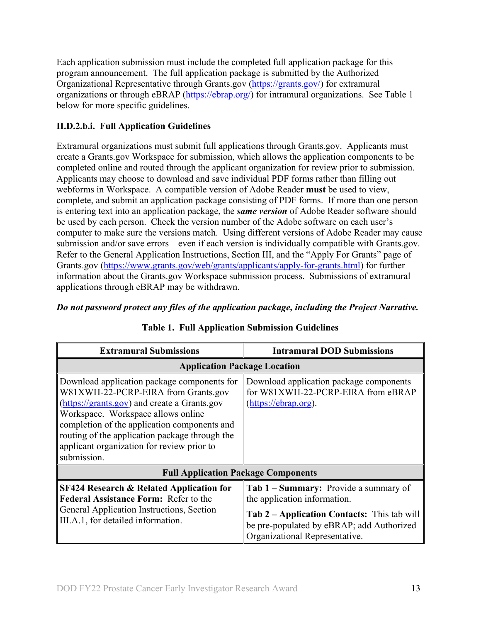Each application submission must include the completed full application package for this program announcement. The full application package is submitted by the Authorized Organizational Representative through Grants.gov [\(https://grants.gov/\)](https://www.grants.gov/) for extramural organizations or through eBRAP [\(https://ebrap.org/\)](https://ebrap.org/) for intramural organizations. See Table 1 below for more specific guidelines.

## **II.D.2.b.i. Full Application Guidelines**

Extramural organizations must submit full applications through Grants.gov. Applicants must create a Grants.gov Workspace for submission, which allows the application components to be completed online and routed through the applicant organization for review prior to submission. Applicants may choose to download and save individual PDF forms rather than filling out webforms in Workspace. A compatible version of Adobe Reader **must** be used to view, complete, and submit an application package consisting of PDF forms. If more than one person is entering text into an application package, the *same version* of Adobe Reader software should be used by each person. Check the version number of the Adobe software on each user's computer to make sure the versions match. Using different versions of Adobe Reader may cause submission and/or save errors – even if each version is individually compatible with Grants.gov. Refer to the General Application Instructions, Section III, and the "Apply For Grants" page of Grants.gov [\(https://www.grants.gov/web/grants/applicants/apply-for-grants.html\)](https://www.grants.gov/web/grants/applicants/apply-for-grants.html) for further information about the Grants.gov Workspace submission process. Submissions of extramural applications through eBRAP may be withdrawn.

### *Do not password protect any files of the application package, including the Project Narrative.*

<span id="page-12-0"></span>

| <b>Extramural Submissions</b>                                                                                                                                                                                                                                                                                                           | <b>Intramural DOD Submissions</b>                                                                                          |  |
|-----------------------------------------------------------------------------------------------------------------------------------------------------------------------------------------------------------------------------------------------------------------------------------------------------------------------------------------|----------------------------------------------------------------------------------------------------------------------------|--|
| <b>Application Package Location</b>                                                                                                                                                                                                                                                                                                     |                                                                                                                            |  |
| Download application package components for<br>W81XWH-22-PCRP-EIRA from Grants.gov<br>(https://grants.gov) and create a Grants.gov<br>Workspace. Workspace allows online<br>completion of the application components and<br>routing of the application package through the<br>applicant organization for review prior to<br>submission. | Download application package components<br>for W81XWH-22-PCRP-EIRA from eBRAP<br>(https://ebrap.org).                      |  |
| <b>Full Application Package Components</b>                                                                                                                                                                                                                                                                                              |                                                                                                                            |  |
| <b>SF424 Research &amp; Related Application for</b><br><b>Federal Assistance Form: Refer to the</b>                                                                                                                                                                                                                                     | Tab 1 – Summary: Provide a summary of<br>the application information.                                                      |  |
| General Application Instructions, Section<br>III.A.1, for detailed information.                                                                                                                                                                                                                                                         | Tab 2 – Application Contacts: This tab will<br>be pre-populated by eBRAP; add Authorized<br>Organizational Representative. |  |

## **Table 1. Full Application Submission Guidelines**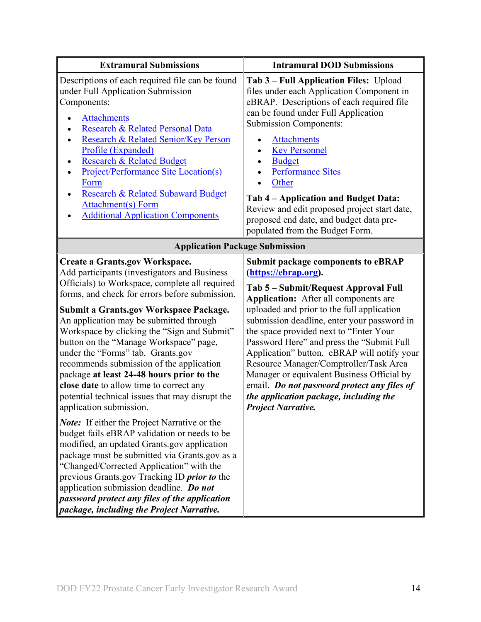| <b>Extramural Submissions</b>                                                                                                                                                                                                                                                                                                                                                                                                                                                                                                                                                                                                                                                                                                                                                                                                                                                                                                                                                                                                               | <b>Intramural DOD Submissions</b>                                                                                                                                                                                                                                                                                                                                                                                                                                                                                                                                                                   |  |
|---------------------------------------------------------------------------------------------------------------------------------------------------------------------------------------------------------------------------------------------------------------------------------------------------------------------------------------------------------------------------------------------------------------------------------------------------------------------------------------------------------------------------------------------------------------------------------------------------------------------------------------------------------------------------------------------------------------------------------------------------------------------------------------------------------------------------------------------------------------------------------------------------------------------------------------------------------------------------------------------------------------------------------------------|-----------------------------------------------------------------------------------------------------------------------------------------------------------------------------------------------------------------------------------------------------------------------------------------------------------------------------------------------------------------------------------------------------------------------------------------------------------------------------------------------------------------------------------------------------------------------------------------------------|--|
| Descriptions of each required file can be found<br>under Full Application Submission<br>Components:<br><b>Attachments</b><br>Research & Related Personal Data<br>Research & Related Senior/Key Person<br>Profile (Expanded)<br><b>Research &amp; Related Budget</b><br><b>Project/Performance Site Location(s)</b><br>Form<br><b>Research &amp; Related Subaward Budget</b><br><b>Attachment(s)</b> Form<br><b>Additional Application Components</b>                                                                                                                                                                                                                                                                                                                                                                                                                                                                                                                                                                                        | Tab 3 - Full Application Files: Upload<br>files under each Application Component in<br>eBRAP. Descriptions of each required file<br>can be found under Full Application<br><b>Submission Components:</b><br><b>Attachments</b><br><b>Key Personnel</b><br><b>Budget</b><br><b>Performance Sites</b><br>Other<br>Tab 4 – Application and Budget Data:<br>Review and edit proposed project start date,<br>proposed end date, and budget data pre-<br>populated from the Budget Form.                                                                                                                  |  |
| <b>Application Package Submission</b>                                                                                                                                                                                                                                                                                                                                                                                                                                                                                                                                                                                                                                                                                                                                                                                                                                                                                                                                                                                                       |                                                                                                                                                                                                                                                                                                                                                                                                                                                                                                                                                                                                     |  |
| <b>Create a Grants.gov Workspace.</b><br>Add participants (investigators and Business<br>Officials) to Workspace, complete all required<br>forms, and check for errors before submission.<br><b>Submit a Grants.gov Workspace Package.</b><br>An application may be submitted through<br>Workspace by clicking the "Sign and Submit"<br>button on the "Manage Workspace" page,<br>under the "Forms" tab. Grants.gov<br>recommends submission of the application<br>package at least 24-48 hours prior to the<br>close date to allow time to correct any<br>potential technical issues that may disrupt the<br>application submission.<br><b>Note:</b> If either the Project Narrative or the<br>budget fails eBRAP validation or needs to be<br>modified, an updated Grants.gov application<br>package must be submitted via Grants.gov as a<br>"Changed/Corrected Application" with the<br>previous Grants.gov Tracking ID <i>prior to</i> the<br>application submission deadline. Do not<br>password protect any files of the application | <b>Submit package components to eBRAP</b><br>(https://ebrap.org).<br>Tab 5 – Submit/Request Approval Full<br>Application: After all components are<br>uploaded and prior to the full application<br>submission deadline, enter your password in<br>the space provided next to "Enter Your<br>Password Here" and press the "Submit Full<br>Application" button. eBRAP will notify your<br>Resource Manager/Comptroller/Task Area<br>Manager or equivalent Business Official by<br>email. Do not password protect any files of<br>the application package, including the<br><b>Project Narrative.</b> |  |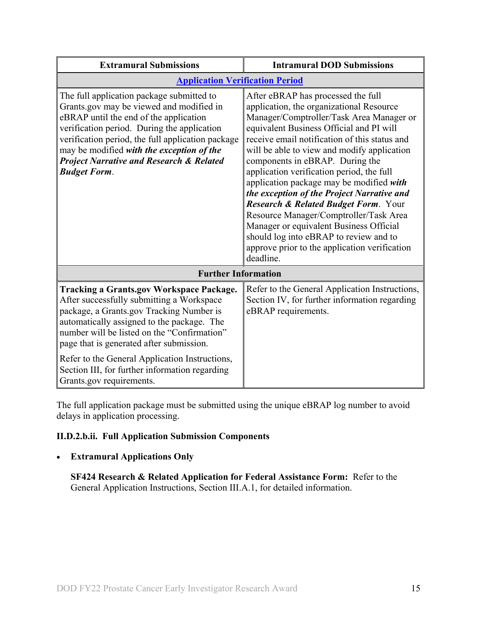| <b>Extramural Submissions</b>                                                                                                                                                                                                                                                                                                                                  | <b>Intramural DOD Submissions</b>                                                                                                                                                                                                                                                                                                                                                                                                                                                                                                                                                                                                                                                                |
|----------------------------------------------------------------------------------------------------------------------------------------------------------------------------------------------------------------------------------------------------------------------------------------------------------------------------------------------------------------|--------------------------------------------------------------------------------------------------------------------------------------------------------------------------------------------------------------------------------------------------------------------------------------------------------------------------------------------------------------------------------------------------------------------------------------------------------------------------------------------------------------------------------------------------------------------------------------------------------------------------------------------------------------------------------------------------|
| <b>Application Verification Period</b>                                                                                                                                                                                                                                                                                                                         |                                                                                                                                                                                                                                                                                                                                                                                                                                                                                                                                                                                                                                                                                                  |
| The full application package submitted to<br>Grants.gov may be viewed and modified in<br>eBRAP until the end of the application<br>verification period. During the application<br>verification period, the full application package<br>may be modified with the exception of the<br><b>Project Narrative and Research &amp; Related</b><br><b>Budget Form.</b> | After eBRAP has processed the full<br>application, the organizational Resource<br>Manager/Comptroller/Task Area Manager or<br>equivalent Business Official and PI will<br>receive email notification of this status and<br>will be able to view and modify application<br>components in eBRAP. During the<br>application verification period, the full<br>application package may be modified with<br>the exception of the Project Narrative and<br><b>Research &amp; Related Budget Form.</b> Your<br>Resource Manager/Comptroller/Task Area<br>Manager or equivalent Business Official<br>should log into eBRAP to review and to<br>approve prior to the application verification<br>deadline. |
| <b>Further Information</b>                                                                                                                                                                                                                                                                                                                                     |                                                                                                                                                                                                                                                                                                                                                                                                                                                                                                                                                                                                                                                                                                  |
| <b>Tracking a Grants.gov Workspace Package.</b><br>After successfully submitting a Workspace<br>package, a Grants.gov Tracking Number is<br>automatically assigned to the package. The<br>number will be listed on the "Confirmation"<br>page that is generated after submission.                                                                              | Refer to the General Application Instructions,<br>Section IV, for further information regarding<br>eBRAP requirements.                                                                                                                                                                                                                                                                                                                                                                                                                                                                                                                                                                           |
| Refer to the General Application Instructions,<br>Section III, for further information regarding<br>Grants.gov requirements.                                                                                                                                                                                                                                   |                                                                                                                                                                                                                                                                                                                                                                                                                                                                                                                                                                                                                                                                                                  |

The full application package must be submitted using the unique eBRAP log number to avoid delays in application processing.

## <span id="page-14-0"></span>**II.D.2.b.ii. Full Application Submission Components**

### • **Extramural Applications Only**

**SF424 Research & Related Application for Federal Assistance Form:** Refer to the General Application Instructions, Section III.A.1, for detailed information.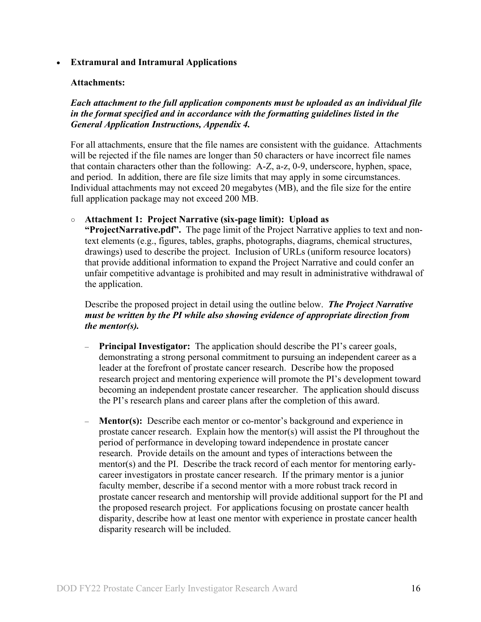#### • **Extramural and Intramural Applications**

#### <span id="page-15-0"></span>**Attachments:**

*Each attachment to the full application components must be uploaded as an individual file in the format specified and in accordance with the formatting guidelines listed in the General Application Instructions, Appendix 4.* 

For all attachments, ensure that the file names are consistent with the guidance. Attachments will be rejected if the file names are longer than 50 characters or have incorrect file names that contain characters other than the following: A-Z, a-z, 0-9, underscore, hyphen, space, and period. In addition, there are file size limits that may apply in some circumstances. Individual attachments may not exceed 20 megabytes (MB), and the file size for the entire full application package may not exceed 200 MB.

#### ○ **Attachment 1: Project Narrative (six-page limit): Upload as**

**"ProjectNarrative.pdf".** The page limit of the Project Narrative applies to text and nontext elements (e.g., figures, tables, graphs, photographs, diagrams, chemical structures, drawings) used to describe the project. Inclusion of URLs (uniform resource locators) that provide additional information to expand the Project Narrative and could confer an unfair competitive advantage is prohibited and may result in administrative withdrawal of the application.

Describe the proposed project in detail using the outline below. *The Project Narrative must be written by the PI while also showing evidence of appropriate direction from the mentor(s).*

- **Principal Investigator:** The application should describe the PI's career goals, demonstrating a strong personal commitment to pursuing an independent career as a leader at the forefront of prostate cancer research. Describe how the proposed research project and mentoring experience will promote the PI's development toward becoming an independent prostate cancer researcher. The application should discuss the PI's research plans and career plans after the completion of this award.
- **Mentor(s):** Describe each mentor or co-mentor's background and experience in prostate cancer research. Explain how the mentor(s) will assist the PI throughout the period of performance in developing toward independence in prostate cancer research. Provide details on the amount and types of interactions between the mentor(s) and the PI. Describe the track record of each mentor for mentoring earlycareer investigators in prostate cancer research. If the primary mentor is a junior faculty member, describe if a second mentor with a more robust track record in prostate cancer research and mentorship will provide additional support for the PI and the proposed research project. For applications focusing on prostate cancer health disparity, describe how at least one mentor with experience in prostate cancer health disparity research will be included.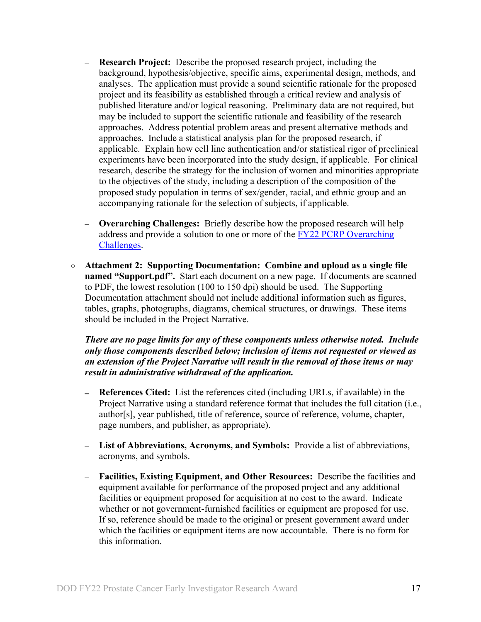- **Research Project:** Describe the proposed research project, including the background, hypothesis/objective, specific aims, experimental design, methods, and analyses. The application must provide a sound scientific rationale for the proposed project and its feasibility as established through a critical review and analysis of published literature and/or logical reasoning. Preliminary data are not required, but may be included to support the scientific rationale and feasibility of the research approaches. Address potential problem areas and present alternative methods and approaches. Include a statistical analysis plan for the proposed research, if applicable. Explain how cell line authentication and/or statistical rigor of preclinical experiments have been incorporated into the study design, if applicable. For clinical research, describe the strategy for the inclusion of women and minorities appropriate to the objectives of the study, including a description of the composition of the proposed study population in terms of sex/gender, racial, and ethnic group and an accompanying rationale for the selection of subjects, if applicable.
- **Overarching Challenges:** Briefly describe how the proposed research will help address and provide a solution to one or more of the FY22 PCRP Overarching [Challenges.](#page-2-2)
- **Attachment 2: Supporting Documentation: Combine and upload as a single file named "Support.pdf".** Start each document on a new page. If documents are scanned to PDF, the lowest resolution (100 to 150 dpi) should be used. The Supporting Documentation attachment should not include additional information such as figures, tables, graphs, photographs, diagrams, chemical structures, or drawings. These items should be included in the Project Narrative.

*There are no page limits for any of these components unless otherwise noted. Include only those components described below; inclusion of items not requested or viewed as an extension of the Project Narrative will result in the removal of those items or may result in administrative withdrawal of the application.*

- **References Cited:** List the references cited (including URLs, if available) in the Project Narrative using a standard reference format that includes the full citation (i.e., author[s], year published, title of reference, source of reference, volume, chapter, page numbers, and publisher, as appropriate).
- **List of Abbreviations, Acronyms, and Symbols:** Provide a list of abbreviations, acronyms, and symbols.
- **Facilities, Existing Equipment, and Other Resources:** Describe the facilities and equipment available for performance of the proposed project and any additional facilities or equipment proposed for acquisition at no cost to the award. Indicate whether or not government-furnished facilities or equipment are proposed for use. If so, reference should be made to the original or present government award under which the facilities or equipment items are now accountable. There is no form for this information.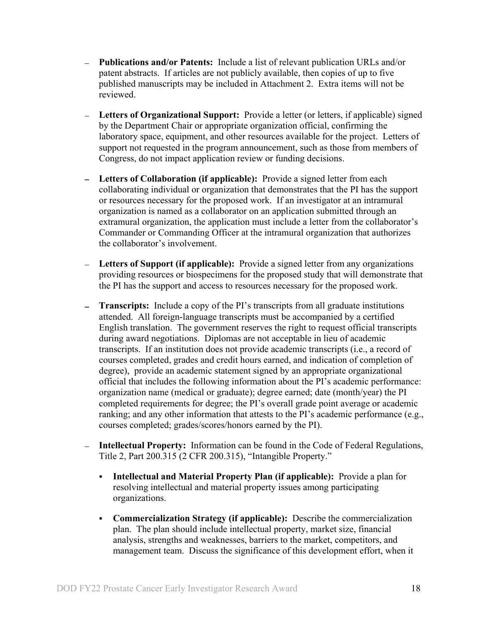- **Publications and/or Patents:** Include a list of relevant publication URLs and/or patent abstracts. If articles are not publicly available, then copies of up to five published manuscripts may be included in Attachment 2. Extra items will not be reviewed.
- **Letters of Organizational Support:** Provide a letter (or letters, if applicable) signed by the Department Chair or appropriate organization official, confirming the laboratory space, equipment, and other resources available for the project. Letters of support not requested in the program announcement, such as those from members of Congress, do not impact application review or funding decisions.
- **Letters of Collaboration (if applicable):** Provide a signed letter from each collaborating individual or organization that demonstrates that the PI has the support or resources necessary for the proposed work. If an investigator at an intramural organization is named as a collaborator on an application submitted through an extramural organization, the application must include a letter from the collaborator's Commander or Commanding Officer at the intramural organization that authorizes the collaborator's involvement.
- **Letters of Support (if applicable):** Provide a signed letter from any organizations providing resources or biospecimens for the proposed study that will demonstrate that the PI has the support and access to resources necessary for the proposed work.
- **Transcripts:** Include a copy of the PI's transcripts from all graduate institutions attended. All foreign-language transcripts must be accompanied by a certified English translation. The government reserves the right to request official transcripts during award negotiations. Diplomas are not acceptable in lieu of academic transcripts. If an institution does not provide academic transcripts (i.e., a record of courses completed, grades and credit hours earned, and indication of completion of degree), provide an academic statement signed by an appropriate organizational official that includes the following information about the PI's academic performance: organization name (medical or graduate); degree earned; date (month/year) the PI completed requirements for degree; the PI's overall grade point average or academic ranking; and any other information that attests to the PI's academic performance (e.g., courses completed; grades/scores/honors earned by the PI).
- **Intellectual Property:** Information can be found in the Code of Federal Regulations, Title 2, Part 200.315 (2 CFR 200.315), "Intangible Property."
	- **Intellectual and Material Property Plan (if applicable):** Provide a plan for resolving intellectual and material property issues among participating organizations.
	- **Commercialization Strategy (if applicable):** Describe the commercialization plan. The plan should include intellectual property, market size, financial analysis, strengths and weaknesses, barriers to the market, competitors, and management team. Discuss the significance of this development effort, when it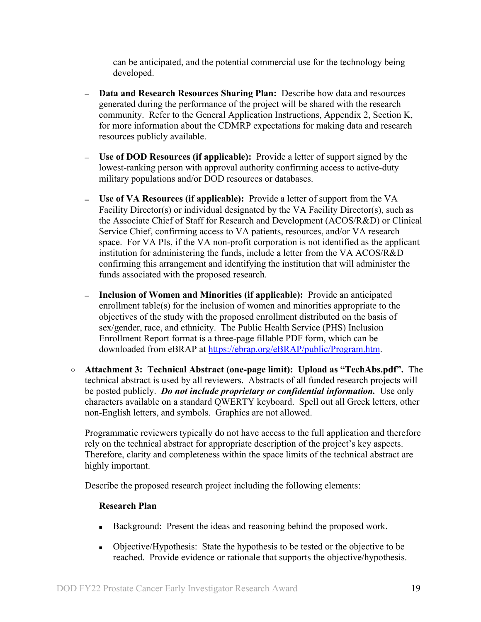can be anticipated, and the potential commercial use for the technology being developed.

- **Data and Research Resources Sharing Plan:** Describe how data and resources generated during the performance of the project will be shared with the research community. Refer to the General Application Instructions, Appendix 2, Section K, for more information about the CDMRP expectations for making data and research resources publicly available.
- **Use of DOD Resources (if applicable):** Provide a letter of support signed by the  $\equiv$ lowest-ranking person with approval authority confirming access to active-duty military populations and/or DOD resources or databases.
- **Use of VA Resources (if applicable):** Provide a letter of support from the VA Facility Director(s) or individual designated by the VA Facility Director(s), such as the Associate Chief of Staff for Research and Development (ACOS/R&D) or Clinical Service Chief, confirming access to VA patients, resources, and/or VA research space. For VA PIs, if the VA non-profit corporation is not identified as the applicant institution for administering the funds, include a letter from the VA ACOS/R&D confirming this arrangement and identifying the institution that will administer the funds associated with the proposed research.
- **Inclusion of Women and Minorities (if applicable):** Provide an anticipated enrollment table(s) for the inclusion of women and minorities appropriate to the objectives of the study with the proposed enrollment distributed on the basis of sex/gender, race, and ethnicity. The Public Health Service (PHS) Inclusion Enrollment Report format is a three-page fillable PDF form, which can be downloaded from eBRAP at [https://ebrap.org/eBRAP/public/Program.htm.](https://ebrap.org/eBRAP/public/Program.htm)
- **Attachment 3: Technical Abstract (one-page limit): Upload as "TechAbs.pdf".** The technical abstract is used by all reviewers. Abstracts of all funded research projects will be posted publicly. *Do not include proprietary or confidential information.* Use only characters available on a standard QWERTY keyboard. Spell out all Greek letters, other non-English letters, and symbols. Graphics are not allowed.

Programmatic reviewers typically do not have access to the full application and therefore rely on the technical abstract for appropriate description of the project's key aspects. Therefore, clarity and completeness within the space limits of the technical abstract are highly important.

Describe the proposed research project including the following elements:

- **Research Plan**
	- Background: Present the ideas and reasoning behind the proposed work.
	- Objective/Hypothesis: State the hypothesis to be tested or the objective to be reached. Provide evidence or rationale that supports the objective/hypothesis.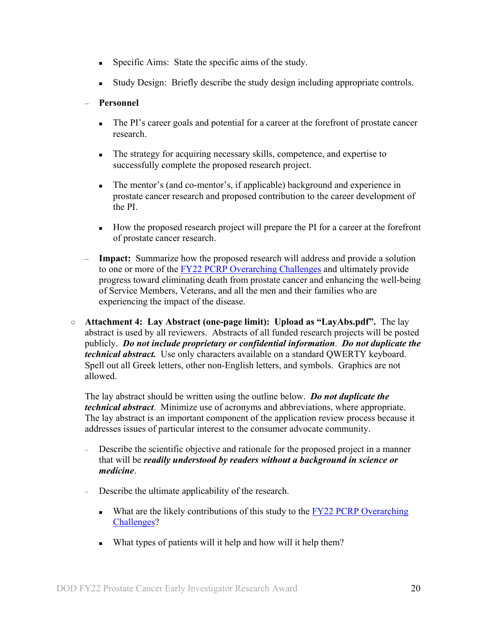- Specific Aims: State the specific aims of the study.
- Study Design: Briefly describe the study design including appropriate controls.

### – **Personnel**

- The PI's career goals and potential for a career at the forefront of prostate cancer research.
- The strategy for acquiring necessary skills, competence, and expertise to successfully complete the proposed research project.
- The mentor's (and co-mentor's, if applicable) background and experience in prostate cancer research and proposed contribution to the career development of the PI.
- How the proposed research project will prepare the PI for a career at the forefront of prostate cancer research.
- **Impact:** Summarize how the proposed research will address and provide a solution to one or more of the [FY22 PCRP Overarching Challenges](#page-2-2) and ultimately provide progress toward eliminating death from prostate cancer and enhancing the well-being of Service Members, Veterans, and all the men and their families who are experiencing the impact of the disease.
- **Attachment 4: Lay Abstract (one-page limit): Upload as "LayAbs.pdf".** The lay abstract is used by all reviewers. Abstracts of all funded research projects will be posted publicly. *Do not include proprietary or confidential information*. *Do not duplicate the technical abstract.* Use only characters available on a standard QWERTY keyboard. Spell out all Greek letters, other non-English letters, and symbols. Graphics are not allowed.

The lay abstract should be written using the outline below. *Do not duplicate the technical abstract*. Minimize use of acronyms and abbreviations, where appropriate. The lay abstract is an important component of the application review process because it addresses issues of particular interest to the consumer advocate community.

- Describe the scientific objective and rationale for the proposed project in a manner that will be *readily understood by readers without a background in science or medicine*.
- Describe the ultimate applicability of the research.
	- What are the likely contributions of this study to the  $FY22$  PCRP Overarching [Challenges?](#page-2-2)
	- What types of patients will it help and how will it help them?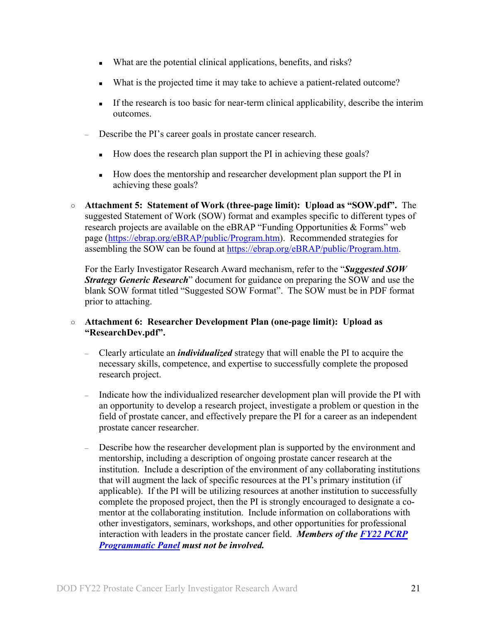- What are the potential clinical applications, benefits, and risks?
- What is the projected time it may take to achieve a patient-related outcome?
- If the research is too basic for near-term clinical applicability, describe the interim outcomes.
- Describe the PI's career goals in prostate cancer research.
	- How does the research plan support the PI in achieving these goals?
	- How does the mentorship and researcher development plan support the PI in achieving these goals?
- **Attachment 5: Statement of Work (three-page limit): Upload as "SOW.pdf".** The suggested Statement of Work (SOW) format and examples specific to different types of research projects are available on the eBRAP "Funding Opportunities & Forms" web page [\(https://ebrap.org/eBRAP/public/Program.htm\)](https://ebrap.org/eBRAP/public/Program.htm). Recommended strategies for assembling the SOW can be found at [https://ebrap.org/eBRAP/public/Program.htm.](https://ebrap.org/eBRAP/public/Program.htm)

For the Early Investigator Research Award mechanism, refer to the "*Suggested SOW Strategy Generic Research*" document for guidance on preparing the SOW and use the blank SOW format titled "Suggested SOW Format". The SOW must be in PDF format prior to attaching.

#### ○ **Attachment 6: Researcher Development Plan (one-page limit): Upload as "ResearchDev.pdf".**

- Clearly articulate an *individualized* strategy that will enable the PI to acquire the necessary skills, competence, and expertise to successfully complete the proposed research project.
- Indicate how the individualized researcher development plan will provide the PI with an opportunity to develop a research project, investigate a problem or question in the field of prostate cancer, and effectively prepare the PI for a career as an independent prostate cancer researcher.
- Describe how the researcher development plan is supported by the environment and mentorship, including a description of ongoing prostate cancer research at the institution. Include a description of the environment of any collaborating institutions that will augment the lack of specific resources at the PI's primary institution (if applicable). If the PI will be utilizing resources at another institution to successfully complete the proposed project, then the PI is strongly encouraged to designate a comentor at the collaborating institution. Include information on collaborations with other investigators, seminars, workshops, and other opportunities for professional interaction with leaders in the prostate cancer field. *Members of the [FY22 PCRP](https://cdmrp.army.mil/pcrp/panels/panel22)  [Programmatic Panel](https://cdmrp.army.mil/pcrp/panels/panel22) must not be involved.*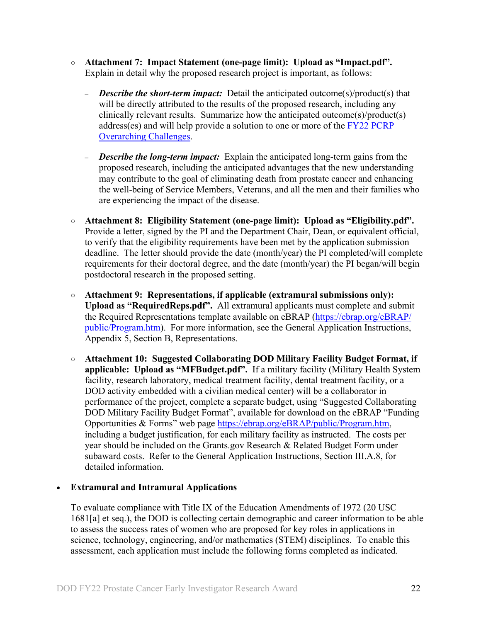- **Attachment 7: Impact Statement (one-page limit): Upload as "Impact.pdf".** Explain in detail why the proposed research project is important, as follows:
	- *Describe the short-term impact:* Detail the anticipated outcome(s)/product(s) that will be directly attributed to the results of the proposed research, including any clinically relevant results. Summarize how the anticipated outcome(s)/product(s) address(es) and will help provide a solution to one or more of the [FY22 PCRP](#page-2-2)  [Overarching Challenges.](#page-2-2)
	- *Describe the long-term impact:* Explain the anticipated long-term gains from the proposed research, including the anticipated advantages that the new understanding may contribute to the goal of eliminating death from prostate cancer and enhancing the well-being of Service Members, Veterans, and all the men and their families who are experiencing the impact of the disease.
- **Attachment 8: Eligibility Statement (one-page limit): Upload as "Eligibility.pdf".** Provide a letter, signed by the PI and the Department Chair, Dean, or equivalent official, to verify that the eligibility requirements have been met by the application submission deadline. The letter should provide the date (month/year) the PI completed/will complete requirements for their doctoral degree, and the date (month/year) the PI began/will begin postdoctoral research in the proposed setting.
- **Attachment 9: Representations, if applicable (extramural submissions only): Upload as "RequiredReps.pdf".** All extramural applicants must complete and submit the Required Representations template available on eBRAP [\(https://ebrap.org/eBRAP/](https://ebrap.org/eBRAP/public/Program.htm) [public/Program.htm\)](https://ebrap.org/eBRAP/public/Program.htm). For more information, see the General Application Instructions, Appendix 5, Section B, Representations.
- <span id="page-21-0"></span>○ **Attachment 10: Suggested Collaborating DOD Military Facility Budget Format, if applicable: Upload as "MFBudget.pdf".** If a military facility (Military Health System facility, research laboratory, medical treatment facility, dental treatment facility, or a DOD activity embedded with a civilian medical center) will be a collaborator in performance of the project, complete a separate budget, using "Suggested Collaborating DOD Military Facility Budget Format", available for download on the eBRAP "Funding Opportunities & Forms" web page [https://ebrap.org/eBRAP/public/Program.htm,](https://ebrap.org/eBRAP/public/Program.htm) including a budget justification, for each military facility as instructed. The costs per year should be included on the Grants.gov Research & Related Budget Form under subaward costs. Refer to the General Application Instructions, Section III.A.8, for detailed information.

#### • **Extramural and Intramural Applications**

To evaluate compliance with Title IX of the Education Amendments of 1972 (20 USC 1681[a] et seq.), the DOD is collecting certain demographic and career information to be able to assess the success rates of women who are proposed for key roles in applications in science, technology, engineering, and/or mathematics (STEM) disciplines. To enable this assessment, each application must include the following forms completed as indicated.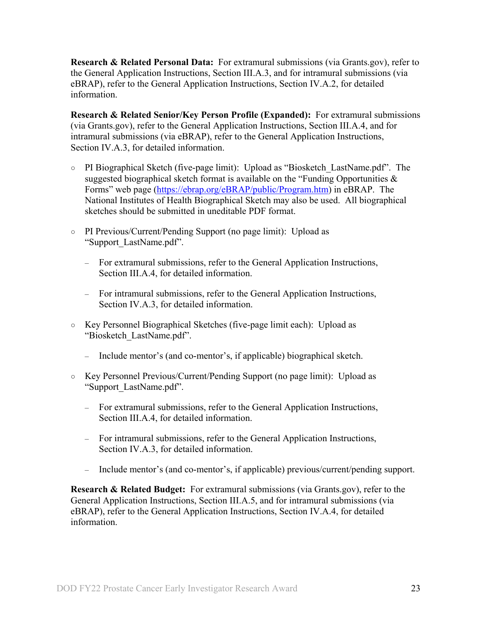<span id="page-22-0"></span>**Research & Related Personal Data:** For extramural submissions (via Grants.gov), refer to the General Application Instructions, Section III.A.3, and for intramural submissions (via eBRAP), refer to the General Application Instructions, Section IV.A.2, for detailed information.

<span id="page-22-1"></span>**Research & Related Senior/Key Person Profile (Expanded):** For extramural submissions (via Grants.gov), refer to the General Application Instructions, Section III.A.4, and for intramural submissions (via eBRAP), refer to the General Application Instructions, Section IV.A.3, for detailed information.

- PI Biographical Sketch (five-page limit): Upload as "Biosketch\_LastName.pdf". The suggested biographical sketch format is available on the "Funding Opportunities  $\&$ Forms" web page [\(https://ebrap.org/eBRAP/public/Program.htm\)](https://ebrap.org/eBRAP/public/Program.htm) in eBRAP. The National Institutes of Health Biographical Sketch may also be used. All biographical sketches should be submitted in uneditable PDF format.
- PI Previous/Current/Pending Support (no page limit): Upload as "Support\_LastName.pdf".
	- For extramural submissions, refer to the General Application Instructions, Section III.A.4, for detailed information.
	- For intramural submissions, refer to the General Application Instructions, Section IV.A.3, for detailed information.
- Key Personnel Biographical Sketches (five-page limit each): Upload as "Biosketch\_LastName.pdf".
	- Include mentor's (and co-mentor's, if applicable) biographical sketch.
- Key Personnel Previous/Current/Pending Support (no page limit): Upload as "Support\_LastName.pdf".
	- For extramural submissions, refer to the General Application Instructions, Section III.A.4, for detailed information.
	- For intramural submissions, refer to the General Application Instructions, Section IV.A.3, for detailed information.
	- Include mentor's (and co-mentor's, if applicable) previous/current/pending support.

<span id="page-22-2"></span>**Research & Related Budget:** For extramural submissions (via Grants.gov), refer to the General Application Instructions, Section III.A.5, and for intramural submissions (via eBRAP), refer to the General Application Instructions, Section IV.A.4, for detailed information.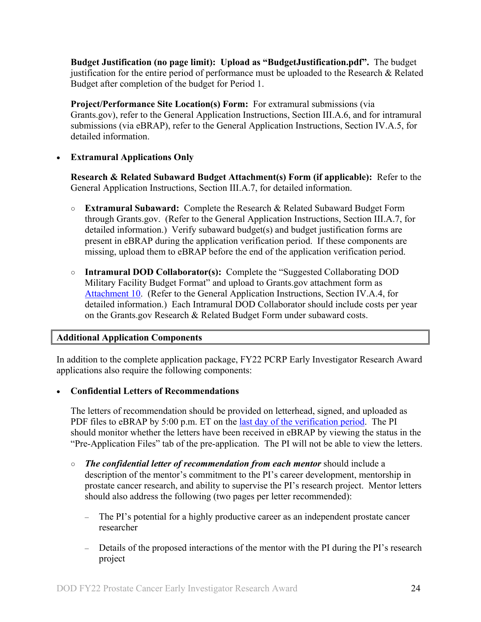**Budget Justification (no page limit): Upload as "BudgetJustification.pdf".** The budget justification for the entire period of performance must be uploaded to the Research & Related Budget after completion of the budget for Period 1.

<span id="page-23-0"></span>**Project/Performance Site Location(s) Form:** For extramural submissions (via Grants.gov), refer to the General Application Instructions, Section III.A.6, and for intramural submissions (via eBRAP), refer to the General Application Instructions, Section IV.A.5, for detailed information.

#### • **Extramural Applications Only**

<span id="page-23-1"></span>**Research & Related Subaward Budget Attachment(s) Form (if applicable):** Refer to the General Application Instructions, Section III.A.7, for detailed information.

- **Extramural Subaward:** Complete the Research & Related Subaward Budget Form through Grants.gov. (Refer to the General Application Instructions, Section III.A.7, for detailed information.) Verify subaward budget(s) and budget justification forms are present in eBRAP during the application verification period. If these components are missing, upload them to eBRAP before the end of the application verification period.
- **Intramural DOD Collaborator(s):** Complete the "Suggested Collaborating DOD Military Facility Budget Format" and upload to Grants.gov attachment form as [Attachment 10.](#page-21-0) (Refer to the General Application Instructions, Section IV.A.4, for detailed information.) Each Intramural DOD Collaborator should include costs per year on the Grants.gov Research & Related Budget Form under subaward costs.

#### <span id="page-23-2"></span>**Additional Application Components**

In addition to the complete application package, FY22 PCRP Early Investigator Research Award applications also require the following components:

• **Confidential Letters of Recommendations**

The letters of recommendation should be provided on letterhead, signed, and uploaded as PDF files to eBRAP by 5:00 p.m. ET on the [last day of the verification period.](#page-0-1) The PI should monitor whether the letters have been received in eBRAP by viewing the status in the "Pre-Application Files" tab of the pre-application. The PI will not be able to view the letters.

- *The confidential letter of recommendation from each mentor* should include a description of the mentor's commitment to the PI's career development, mentorship in prostate cancer research, and ability to supervise the PI's research project. Mentor letters should also address the following (two pages per letter recommended):
	- The PI's potential for a highly productive career as an independent prostate cancer researcher
	- Details of the proposed interactions of the mentor with the PI during the PI's research project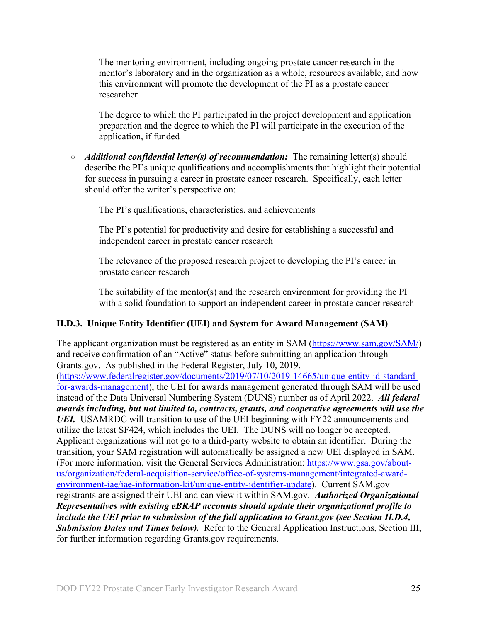- The mentoring environment, including ongoing prostate cancer research in the mentor's laboratory and in the organization as a whole, resources available, and how this environment will promote the development of the PI as a prostate cancer researcher
- The degree to which the PI participated in the project development and application preparation and the degree to which the PI will participate in the execution of the application, if funded
- *Additional confidential letter(s) of recommendation:*The remaining letter(s) should describe the PI's unique qualifications and accomplishments that highlight their potential for success in pursuing a career in prostate cancer research. Specifically, each letter should offer the writer's perspective on:
	- The PI's qualifications, characteristics, and achievements
	- The PI's potential for productivity and desire for establishing a successful and independent career in prostate cancer research
	- The relevance of the proposed research project to developing the PI's career in prostate cancer research
	- The suitability of the mentor(s) and the research environment for providing the PI with a solid foundation to support an independent career in prostate cancer research

#### <span id="page-24-0"></span>**II.D.3. Unique Entity Identifier (UEI) and System for Award Management (SAM)**

The applicant organization must be registered as an entity in SAM [\(https://www.sam.gov/SAM/\)](https://www.sam.gov/SAM/) and receive confirmation of an "Active" status before submitting an application through Grants.gov. As published in the Federal Register, July 10, 2019, [\(https://www.federalregister.gov/documents/2019/07/10/2019-14665/unique-entity-id-standard](https://www.federalregister.gov/documents/2019/07/10/2019-14665/unique-entity-id-standard-for-awards-management)[for-awards-management\)](https://www.federalregister.gov/documents/2019/07/10/2019-14665/unique-entity-id-standard-for-awards-management), the UEI for awards management generated through SAM will be used instead of the Data Universal Numbering System (DUNS) number as of April 2022. *All federal awards including, but not limited to, contracts, grants, and cooperative agreements will use the UEI.* USAMRDC will transition to use of the UEI beginning with FY22 announcements and utilize the latest SF424, which includes the UEI. The DUNS will no longer be accepted. Applicant organizations will not go to a third-party website to obtain an identifier. During the transition, your SAM registration will automatically be assigned a new UEI displayed in SAM. (For more information, visit the General Services Administration: [https://www.gsa.gov/about](https://www.gsa.gov/about-us/organization/federal-acquisition-service/office-of-systems-management/integrated-award-environment-iae/iae-information-kit/unique-entity-identifier-update)[us/organization/federal-acquisition-service/office-of-systems-management/integrated-award](https://www.gsa.gov/about-us/organization/federal-acquisition-service/office-of-systems-management/integrated-award-environment-iae/iae-information-kit/unique-entity-identifier-update)[environment-iae/iae-information-kit/unique-entity-identifier-update\)](https://www.gsa.gov/about-us/organization/federal-acquisition-service/office-of-systems-management/integrated-award-environment-iae/iae-information-kit/unique-entity-identifier-update). Current SAM.gov registrants are assigned their UEI and can view it within SAM.gov. *Authorized Organizational Representatives with existing eBRAP accounts should update their organizational profile to include the UEI prior to submission of the full application to Grant.gov (see Section II.D.4, Submission Dates and Times below).* Refer to the General Application Instructions, Section III, for further information regarding Grants.gov requirements.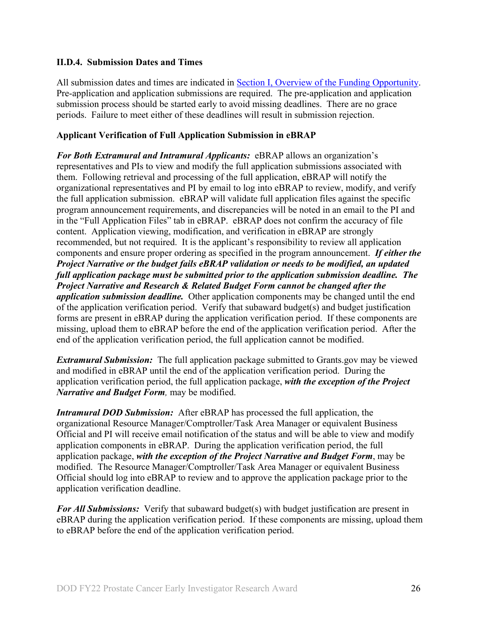#### <span id="page-25-0"></span>**II.D.4. Submission Dates and Times**

All submission dates and times are indicated in [Section I, Overview of the Funding Opportunity.](#page-0-2) Pre-application and application submissions are required. The pre-application and application submission process should be started early to avoid missing deadlines. There are no grace periods. Failure to meet either of these deadlines will result in submission rejection.

#### **Applicant Verification of Full Application Submission in eBRAP**

*For Both Extramural and Intramural Applicants:* eBRAP allows an organization's representatives and PIs to view and modify the full application submissions associated with them. Following retrieval and processing of the full application, eBRAP will notify the organizational representatives and PI by email to log into eBRAP to review, modify, and verify the full application submission. eBRAP will validate full application files against the specific program announcement requirements, and discrepancies will be noted in an email to the PI and in the "Full Application Files" tab in eBRAP. eBRAP does not confirm the accuracy of file content. Application viewing, modification, and verification in eBRAP are strongly recommended, but not required. It is the applicant's responsibility to review all application components and ensure proper ordering as specified in the program announcement. *If either the Project Narrative or the budget fails eBRAP validation or needs to be modified, an updated full application package must be submitted prior to the application submission deadline. The Project Narrative and Research & Related Budget Form cannot be changed after the application submission deadline.* Other application components may be changed until the end of the [application verification period.](#page-0-0) Verify that subaward budget(s) and budget justification forms are present in eBRAP during the application verification period. If these components are missing, upload them to eBRAP before the end of the application verification period. After the end of the application verification period, the full application cannot be modified.

*Extramural Submission:* The full application package submitted to Grants.gov may be viewed and modified in eBRAP until the end of the application verification period. During the application verification period, the full application package, *with the exception of the Project Narrative and Budget Form,* may be modified.

*Intramural DOD Submission:* After eBRAP has processed the full application, the organizational Resource Manager/Comptroller/Task Area Manager or equivalent Business Official and PI will receive email notification of the status and will be able to view and modify application components in eBRAP. During the application verification period, the full application package, *with the exception of the Project Narrative and Budget Form*, may be modified. The Resource Manager/Comptroller/Task Area Manager or equivalent Business Official should log into eBRAP to review and to approve the application package prior to the application verification deadline.

*For All Submissions:* Verify that subaward budget(s) with budget justification are present in eBRAP during the application verification period. If these components are missing, upload them to eBRAP before the end of the application verification period.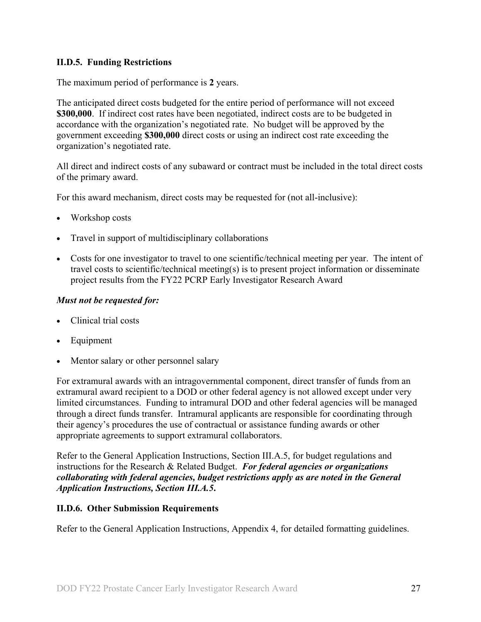### <span id="page-26-0"></span>**II.D.5. Funding Restrictions**

The maximum period of performance is **2** years.

The anticipated direct costs budgeted for the entire period of performance will not exceed **\$300,000**. If indirect cost rates have been negotiated, indirect costs are to be budgeted in accordance with the organization's negotiated rate. No budget will be approved by the government exceeding **\$300,000** direct costs or using an indirect cost rate exceeding the organization's negotiated rate.

All direct and indirect costs of any subaward or contract must be included in the total direct costs of the primary award.

For this award mechanism, direct costs may be requested for (not all-inclusive):

- Workshop costs
- Travel in support of multidisciplinary collaborations
- Costs for one investigator to travel to one scientific/technical meeting per year. The intent of travel costs to scientific/technical meeting(s) is to present project information or disseminate project results from the FY22 PCRP Early Investigator Research Award

#### *Must not be requested for:*

- Clinical trial costs
- **Equipment**
- Mentor salary or other personnel salary

For extramural awards with an intragovernmental component, direct transfer of funds from an extramural award recipient to a DOD or other federal agency is not allowed except under very limited circumstances. Funding to intramural DOD and other federal agencies will be managed through a direct funds transfer. Intramural applicants are responsible for coordinating through their agency's procedures the use of contractual or assistance funding awards or other appropriate agreements to support extramural collaborators.

Refer to the General Application Instructions, Section III.A.5, for budget regulations and instructions for the Research & Related Budget. *For federal agencies or organizations collaborating with federal agencies, budget restrictions apply as are noted in the General Application Instructions, Section III.A.5***.**

#### <span id="page-26-1"></span>**II.D.6. Other Submission Requirements**

Refer to the General Application Instructions, Appendix 4, for detailed formatting guidelines.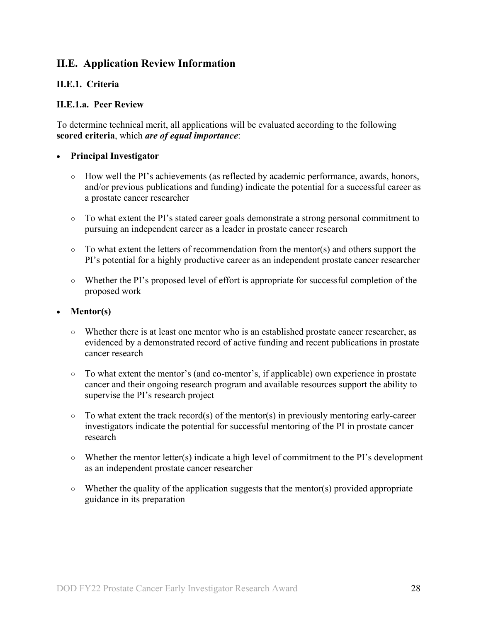## <span id="page-27-0"></span>**II.E. Application Review Information**

#### <span id="page-27-1"></span>**II.E.1. Criteria**

#### **II.E.1.a. Peer Review**

To determine technical merit, all applications will be evaluated according to the following **scored criteria**, which *are of equal importance*:

#### • **Principal Investigator**

- How well the PI's achievements (as reflected by academic performance, awards, honors, and/or previous publications and funding) indicate the potential for a successful career as a prostate cancer researcher
- To what extent the PI's stated career goals demonstrate a strong personal commitment to pursuing an independent career as a leader in prostate cancer research
- $\circ$  To what extent the letters of recommendation from the mentor(s) and others support the PI's potential for a highly productive career as an independent prostate cancer researcher
- Whether the PI's proposed level of effort is appropriate for successful completion of the proposed work

#### • **Mentor(s)**

- Whether there is at least one mentor who is an established prostate cancer researcher, as evidenced by a demonstrated record of active funding and recent publications in prostate cancer research
- To what extent the mentor's (and co-mentor's, if applicable) own experience in prostate cancer and their ongoing research program and available resources support the ability to supervise the PI's research project
- $\circ$  To what extent the track record(s) of the mentor(s) in previously mentoring early-career investigators indicate the potential for successful mentoring of the PI in prostate cancer research
- Whether the mentor letter(s) indicate a high level of commitment to the PI's development as an independent prostate cancer researcher
- $\circ$  Whether the quality of the application suggests that the mentor(s) provided appropriate guidance in its preparation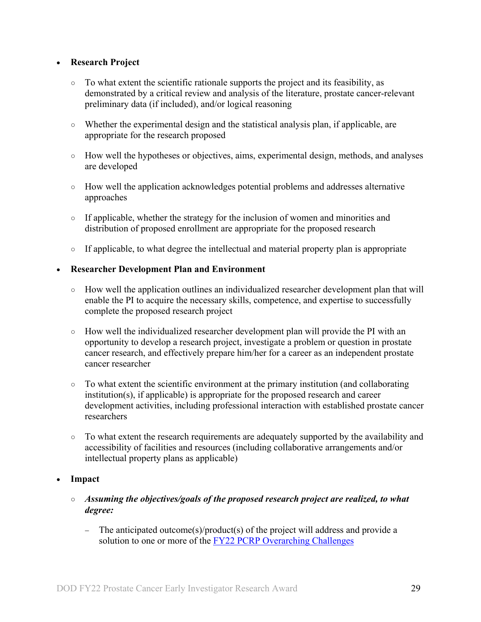#### • **Research Project**

- To what extent the scientific rationale supports the project and its feasibility, as demonstrated by a critical review and analysis of the literature, prostate cancer-relevant preliminary data (if included), and/or logical reasoning
- Whether the experimental design and the statistical analysis plan, if applicable, are appropriate for the research proposed
- How well the hypotheses or objectives, aims, experimental design, methods, and analyses are developed
- How well the application acknowledges potential problems and addresses alternative approaches
- If applicable, whether the strategy for the inclusion of women and minorities and distribution of proposed enrollment are appropriate for the proposed research
- If applicable, to what degree the intellectual and material property plan is appropriate

#### • **Researcher Development Plan and Environment**

- How well the application outlines an individualized researcher development plan that will enable the PI to acquire the necessary skills, competence, and expertise to successfully complete the proposed research project
- $\circ$  How well the individualized researcher development plan will provide the PI with an opportunity to develop a research project, investigate a problem or question in prostate cancer research, and effectively prepare him/her for a career as an independent prostate cancer researcher
- To what extent the scientific environment at the primary institution (and collaborating institution(s), if applicable) is appropriate for the proposed research and career development activities, including professional interaction with established prostate cancer researchers
- To what extent the research requirements are adequately supported by the availability and accessibility of facilities and resources (including collaborative arrangements and/or intellectual property plans as applicable)

#### • **Impact**

- *Assuming the objectives/goals of the proposed research project are realized, to what degree:*
	- − The anticipated outcome(s)/product(s) of the project will address and provide a solution to one or more of the [FY22 PCRP Overarching Challenges](#page-2-2)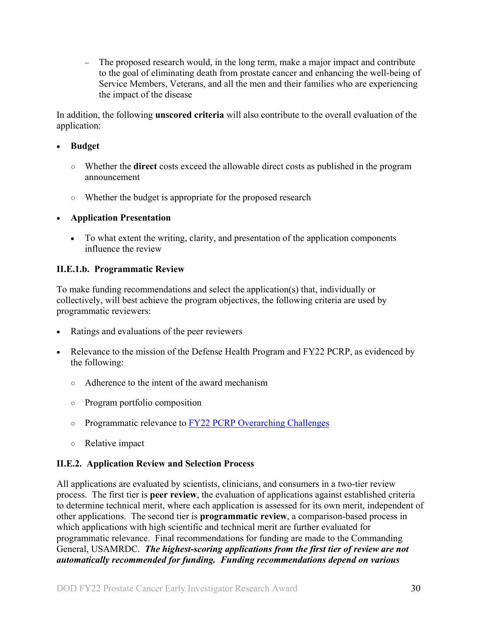− The proposed research would, in the long term, make a major impact and contribute to the goal of eliminating death from prostate cancer and enhancing the well-being of Service Members, Veterans, and all the men and their families who are experiencing the impact of the disease

In addition, the following **unscored criteria** will also contribute to the overall evaluation of the application:

#### • **Budget**

- Whether the **direct** costs exceed the allowable direct costs as published in the program announcement
- Whether the budget is appropriate for the proposed research

### • **Application Presentation**

• To what extent the writing, clarity, and presentation of the application components influence the review

### <span id="page-29-1"></span>**II.E.1.b. Programmatic Review**

To make funding recommendations and select the application(s) that, individually or collectively, will best achieve the program objectives, the following criteria are used by programmatic reviewers:

- Ratings and evaluations of the peer reviewers
- Relevance to the mission of the Defense Health Program and FY22 PCRP, as evidenced by the following:
	- Adherence to the intent of the award mechanism
	- Program portfolio composition
	- Programmatic relevance to [FY22 PCRP Overarching Challenges](#page-2-2)
	- Relative impact

## <span id="page-29-0"></span>**II.E.2. Application Review and Selection Process**

All applications are evaluated by scientists, clinicians, and consumers in a two-tier review process. The first tier is **peer review**, the evaluation of applications against established criteria to determine technical merit, where each application is assessed for its own merit, independent of other applications. The second tier is **programmatic review**, a comparison-based process in which applications with high scientific and technical merit are further evaluated for programmatic relevance. Final recommendations for funding are made to the Commanding General, USAMRDC. *The highest-scoring applications from the first tier of review are not automatically recommended for funding. Funding recommendations depend on various*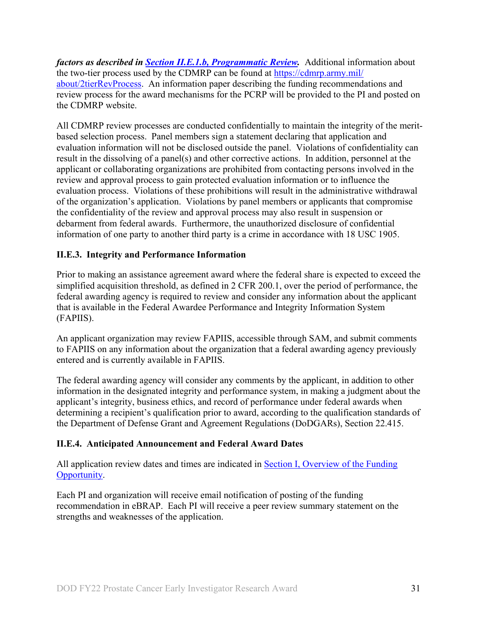*factors as described in Section [II.E.1.b, Programmatic Review.](#page-29-1)* Additional information about the two-tier process used by the CDMRP can be found at [https://cdmrp.army.mil/](https://cdmrp.army.mil/about/2tierRevProcess) [about/2tierRevProcess.](https://cdmrp.army.mil/about/2tierRevProcess) An information paper describing the funding recommendations and review process for the award mechanisms for the PCRP will be provided to the PI and posted on the CDMRP website.

All CDMRP review processes are conducted confidentially to maintain the integrity of the meritbased selection process. Panel members sign a statement declaring that application and evaluation information will not be disclosed outside the panel. Violations of confidentiality can result in the dissolving of a panel(s) and other corrective actions. In addition, personnel at the applicant or collaborating organizations are prohibited from contacting persons involved in the review and approval process to gain protected evaluation information or to influence the evaluation process. Violations of these prohibitions will result in the administrative withdrawal of the organization's application. Violations by panel members or applicants that compromise the confidentiality of the review and approval process may also result in suspension or debarment from federal awards. Furthermore, the unauthorized disclosure of confidential information of one party to another third party is a crime in accordance with 18 USC 1905.

### <span id="page-30-0"></span>**II.E.3. Integrity and Performance Information**

Prior to making an assistance agreement award where the federal share is expected to exceed the simplified acquisition threshold, as defined in 2 CFR 200.1, over the period of performance, the federal awarding agency is required to review and consider any information about the applicant that is available in the Federal Awardee Performance and Integrity Information System (FAPIIS).

An applicant organization may review FAPIIS, accessible through SAM, and submit comments to FAPIIS on any information about the organization that a federal awarding agency previously entered and is currently available in FAPIIS.

The federal awarding agency will consider any comments by the applicant, in addition to other information in the designated integrity and performance system, in making a judgment about the applicant's integrity, business ethics, and record of performance under federal awards when determining a recipient's qualification prior to award, according to the qualification standards of the Department of Defense Grant and Agreement Regulations (DoDGARs), Section 22.415.

#### <span id="page-30-1"></span>**II.E.4. Anticipated Announcement and Federal Award Dates**

All application review dates and times are indicated in [Section I, Overview of the Funding](#page-0-2)  [Opportunity.](#page-0-2)

Each PI and organization will receive email notification of posting of the funding recommendation in eBRAP. Each PI will receive a peer review summary statement on the strengths and weaknesses of the application.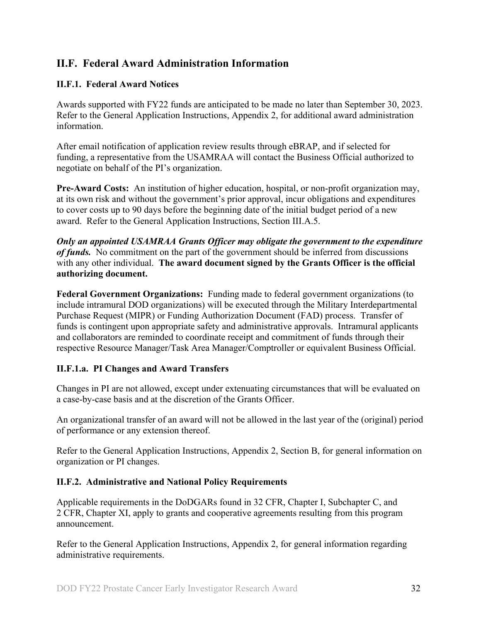## <span id="page-31-0"></span>**II.F. Federal Award Administration Information**

### <span id="page-31-1"></span>**II.F.1. Federal Award Notices**

Awards supported with FY22 funds are anticipated to be made no later than September 30, 2023. Refer to the General Application Instructions, Appendix 2, for additional award administration information.

After email notification of application review results through eBRAP, and if selected for funding, a representative from the USAMRAA will contact the Business Official authorized to negotiate on behalf of the PI's organization.

**Pre-Award Costs:** An institution of higher education, hospital, or non-profit organization may, at its own risk and without the government's prior approval, incur obligations and expenditures to cover costs up to 90 days before the beginning date of the initial budget period of a new award. Refer to the General Application Instructions, Section III.A.5.

*Only an appointed USAMRAA Grants Officer may obligate the government to the expenditure of funds.* No commitment on the part of the government should be inferred from discussions with any other individual. **The award document signed by the Grants Officer is the official authorizing document.**

Federal Government Organizations: Funding made to federal government organizations (to include intramural DOD organizations) will be executed through the Military Interdepartmental Purchase Request (MIPR) or Funding Authorization Document (FAD) process. Transfer of funds is contingent upon appropriate safety and administrative approvals. Intramural applicants and collaborators are reminded to coordinate receipt and commitment of funds through their respective Resource Manager/Task Area Manager/Comptroller or equivalent Business Official.

#### **II.F.1.a. PI Changes and Award Transfers**

Changes in PI are not allowed, except under extenuating circumstances that will be evaluated on a case-by-case basis and at the discretion of the Grants Officer.

An organizational transfer of an award will not be allowed in the last year of the (original) period of performance or any extension thereof.

Refer to the General Application Instructions, Appendix 2, Section B, for general information on organization or PI changes.

#### <span id="page-31-2"></span>**II.F.2. Administrative and National Policy Requirements**

Applicable requirements in the DoDGARs found in 32 CFR, Chapter I, Subchapter C, and 2 CFR, Chapter XI, apply to grants and cooperative agreements resulting from this program announcement.

Refer to the General Application Instructions, Appendix 2, for general information regarding administrative requirements.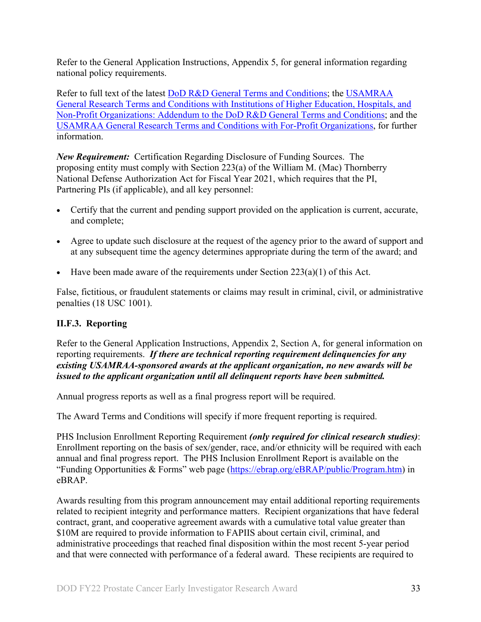Refer to the General Application Instructions, Appendix 5, for general information regarding national policy requirements.

Refer to full text of the latest DoD [R&D General Terms and Conditions;](https://www.onr.navy.mil/work-with-us/manage-your-award/manage-grant-award/grants-terms-conditions) the [USAMRAA](https://www.usamraa.army.mil/Pages/Resources.aspx)  [General Research Terms and Conditions with Institutions of Higher Education, Hospitals, and](https://www.usamraa.army.mil/Pages/Resources.aspx)  [Non-Profit Organizations: Addendum to the DoD](https://www.usamraa.army.mil/Pages/Resources.aspx) R&D General Terms and Conditions; and the [USAMRAA General Research Terms and Conditions with For-Profit Organizations,](https://www.usamraa.army.mil/Pages/Resources.aspx) for further information.

*New Requirement:* Certification Regarding Disclosure of Funding Sources. The proposing entity must comply with Section 223(a) of the William M. (Mac) Thornberry National Defense Authorization Act for Fiscal Year 2021, which requires that the PI, Partnering PIs (if applicable), and all key personnel:

- Certify that the current and pending support provided on the application is current, accurate, and complete;
- Agree to update such disclosure at the request of the agency prior to the award of support and at any subsequent time the agency determines appropriate during the term of the award; and
- Have been made aware of the requirements under Section  $223(a)(1)$  of this Act.

False, fictitious, or fraudulent statements or claims may result in criminal, civil, or administrative penalties (18 USC 1001).

#### <span id="page-32-0"></span>**II.F.3. Reporting**

Refer to the General Application Instructions, Appendix 2, Section A, for general information on reporting requirements. *If there are technical reporting requirement delinquencies for any existing USAMRAA-sponsored awards at the applicant organization, no new awards will be issued to the applicant organization until all delinquent reports have been submitted.*

Annual progress reports as well as a final progress report will be required.

The Award Terms and Conditions will specify if more frequent reporting is required.

PHS Inclusion Enrollment Reporting Requirement *(only required for clinical research studies)*: Enrollment reporting on the basis of sex/gender, race, and/or ethnicity will be required with each annual and final progress report. The PHS Inclusion Enrollment Report is available on the "Funding Opportunities & Forms" web page [\(https://ebrap.org/eBRAP/public/Program.htm\)](https://ebrap.org/eBRAP/public/Program.htm) in eBRAP.

Awards resulting from this program announcement may entail additional reporting requirements related to recipient integrity and performance matters. Recipient organizations that have federal contract, grant, and cooperative agreement awards with a cumulative total value greater than \$10M are required to provide information to FAPIIS about certain civil, criminal, and administrative proceedings that reached final disposition within the most recent 5-year period and that were connected with performance of a federal award. These recipients are required to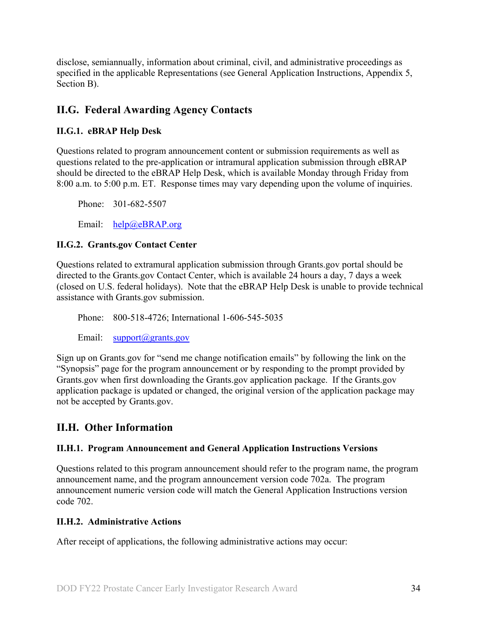disclose, semiannually, information about criminal, civil, and administrative proceedings as specified in the applicable Representations (see General Application Instructions, Appendix 5, Section B).

## <span id="page-33-0"></span>**II.G. Federal Awarding Agency Contacts**

### <span id="page-33-1"></span>**II.G.1. eBRAP Help Desk**

Questions related to program announcement content or submission requirements as well as questions related to the pre-application or intramural application submission through eBRAP should be directed to the eBRAP Help Desk, which is available Monday through Friday from 8:00 a.m. to 5:00 p.m. ET. Response times may vary depending upon the volume of inquiries.

Phone: 301-682-5507

Email: [help@eBRAP.org](mailto:help@eBRAP.org)

#### <span id="page-33-2"></span>**II.G.2. Grants.gov Contact Center**

Questions related to extramural application submission through Grants.gov portal should be directed to the Grants.gov Contact Center, which is available 24 hours a day, 7 days a week (closed on U.S. federal holidays). Note that the eBRAP Help Desk is unable to provide technical assistance with Grants.gov submission.

Phone: 800-518-4726; International 1-606-545-5035

Email: [support@grants.gov](mailto:support@grants.gov)

Sign up on Grants.gov for "send me change notification emails" by following the link on the "Synopsis" page for the program announcement or by responding to the prompt provided by Grants.gov when first downloading the Grants.gov application package. If the Grants.gov application package is updated or changed, the original version of the application package may not be accepted by Grants.gov.

## <span id="page-33-3"></span>**II.H. Other Information**

#### <span id="page-33-4"></span>**II.H.1. Program Announcement and General Application Instructions Versions**

Questions related to this program announcement should refer to the program name, the program announcement name, and the program announcement version code 702a. The program announcement numeric version code will match the General Application Instructions version code 702.

#### <span id="page-33-5"></span>**II.H.2. Administrative Actions**

After receipt of applications, the following administrative actions may occur: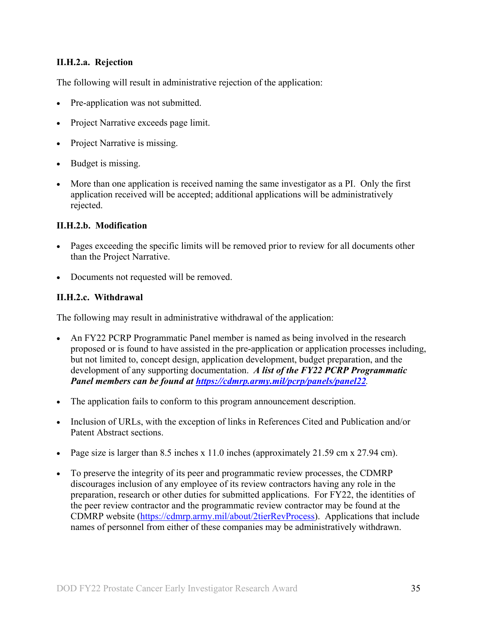#### **II.H.2.a. Rejection**

The following will result in administrative rejection of the application:

- Pre-application was not submitted.
- Project Narrative exceeds page limit.
- Project Narrative is missing.
- Budget is missing.
- More than one application is received naming the same investigator as a PI. Only the first application received will be accepted; additional applications will be administratively rejected.

#### **II.H.2.b. Modification**

- Pages exceeding the specific limits will be removed prior to review for all documents other than the Project Narrative.
- Documents not requested will be removed.

#### <span id="page-34-0"></span>**II.H.2.c. Withdrawal**

The following may result in administrative withdrawal of the application:

- An FY22 PCRP Programmatic Panel member is named as being involved in the research proposed or is found to have assisted in the pre-application or application processes including, but not limited to, concept design, application development, budget preparation, and the development of any supporting documentation. *A list of the FY22 PCRP Programmatic Panel members can be found at<https://cdmrp.army.mil/pcrp/panels/panel22>.*
- The application fails to conform to this program announcement description.
- Inclusion of URLs, with the exception of links in References Cited and Publication and/or Patent Abstract sections.
- Page size is larger than 8.5 inches x 11.0 inches (approximately 21.59 cm x 27.94 cm).
- To preserve the integrity of its peer and programmatic review processes, the CDMRP discourages inclusion of any employee of its review contractors having any role in the preparation, research or other duties for submitted applications. For FY22, the identities of the peer review contractor and the programmatic review contractor may be found at the CDMRP website [\(https://cdmrp.army.mil/about/2tierRevProcess\)](https://cdmrp.army.mil/about/2tierRevProcess). Applications that include names of personnel from either of these companies may be administratively withdrawn.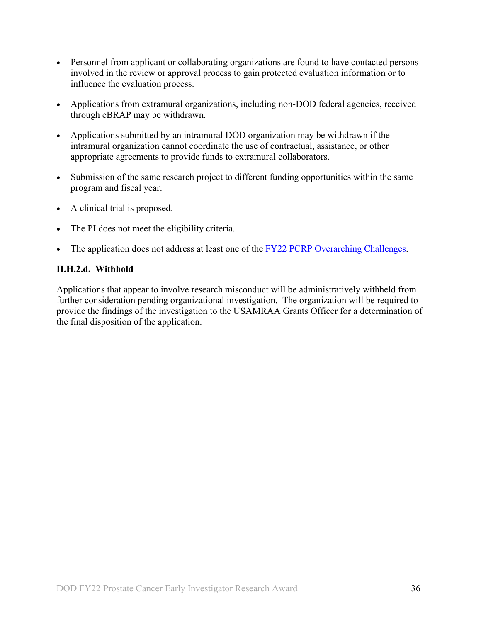- Personnel from applicant or collaborating organizations are found to have contacted persons involved in the review or approval process to gain protected evaluation information or to influence the evaluation process.
- Applications from extramural organizations, including non-DOD federal agencies, received through eBRAP may be withdrawn.
- Applications submitted by an intramural DOD organization may be withdrawn if the intramural organization cannot coordinate the use of contractual, assistance, or other appropriate agreements to provide funds to extramural collaborators.
- Submission of the same research project to different funding opportunities within the same program and fiscal year.
- A clinical trial is proposed.
- The PI does not meet the eligibility criteria.
- The application does not address at least one of the [FY22 PCRP Overarching Challenges.](#page-2-2)

#### **II.H.2.d. Withhold**

Applications that appear to involve research misconduct will be administratively withheld from further consideration pending organizational investigation. The organization will be required to provide the findings of the investigation to the USAMRAA Grants Officer for a determination of the final disposition of the application.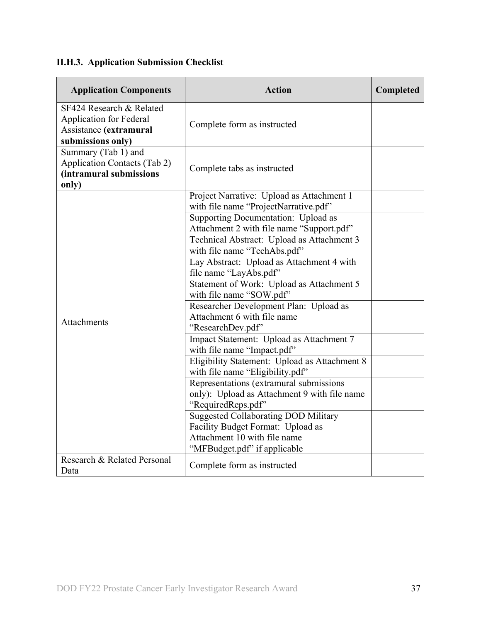# <span id="page-36-0"></span>**II.H.3. Application Submission Checklist**

| <b>Application Components</b>                                                                             | <b>Action</b>                                                                                                    | Completed |
|-----------------------------------------------------------------------------------------------------------|------------------------------------------------------------------------------------------------------------------|-----------|
| SF424 Research & Related<br><b>Application for Federal</b><br>Assistance (extramural<br>submissions only) | Complete form as instructed                                                                                      |           |
| Summary (Tab 1) and<br><b>Application Contacts (Tab 2)</b><br>(intramural submissions<br>only)            | Complete tabs as instructed                                                                                      |           |
|                                                                                                           | Project Narrative: Upload as Attachment 1<br>with file name "ProjectNarrative.pdf"                               |           |
|                                                                                                           | Supporting Documentation: Upload as<br>Attachment 2 with file name "Support.pdf"                                 |           |
|                                                                                                           | Technical Abstract: Upload as Attachment 3<br>with file name "TechAbs.pdf"                                       |           |
|                                                                                                           | Lay Abstract: Upload as Attachment 4 with<br>file name "LayAbs.pdf"                                              |           |
|                                                                                                           | Statement of Work: Upload as Attachment 5<br>with file name "SOW.pdf"                                            |           |
| <b>Attachments</b>                                                                                        | Researcher Development Plan: Upload as<br>Attachment 6 with file name<br>"ResearchDev.pdf"                       |           |
|                                                                                                           | Impact Statement: Upload as Attachment 7<br>with file name "Impact.pdf"                                          |           |
|                                                                                                           | Eligibility Statement: Upload as Attachment 8<br>with file name "Eligibility.pdf"                                |           |
|                                                                                                           | Representations (extramural submissions<br>only): Upload as Attachment 9 with file name<br>"RequiredReps.pdf"    |           |
|                                                                                                           | <b>Suggested Collaborating DOD Military</b><br>Facility Budget Format: Upload as<br>Attachment 10 with file name |           |
| Research & Related Personal<br>Data                                                                       | "MFBudget.pdf" if applicable<br>Complete form as instructed                                                      |           |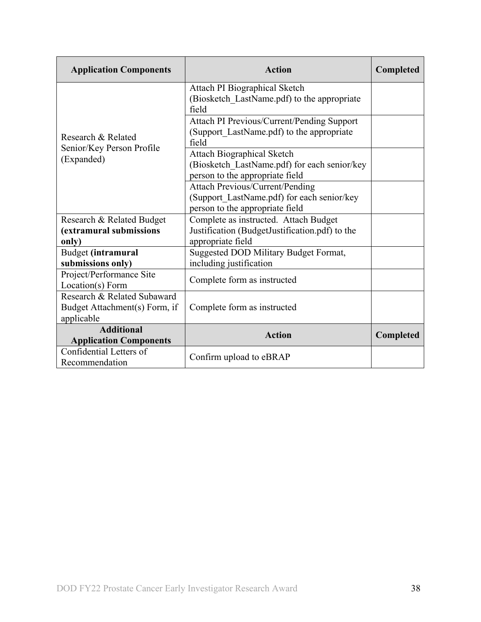| <b>Application Components</b> | <b>Action</b>                                        | Completed |
|-------------------------------|------------------------------------------------------|-----------|
|                               | Attach PI Biographical Sketch                        |           |
|                               | (Biosketch LastName.pdf) to the appropriate<br>field |           |
|                               | Attach PI Previous/Current/Pending Support           |           |
| Research & Related            | (Support LastName.pdf) to the appropriate            |           |
| Senior/Key Person Profile     | field                                                |           |
| (Expanded)                    | <b>Attach Biographical Sketch</b>                    |           |
|                               | (Biosketch LastName.pdf) for each senior/key         |           |
|                               | person to the appropriate field                      |           |
|                               | <b>Attach Previous/Current/Pending</b>               |           |
|                               | (Support LastName.pdf) for each senior/key           |           |
|                               | person to the appropriate field                      |           |
| Research & Related Budget     | Complete as instructed. Attach Budget                |           |
| (extramural submissions       | Justification (BudgetJustification.pdf) to the       |           |
| only)                         | appropriate field                                    |           |
| Budget (intramural            | Suggested DOD Military Budget Format,                |           |
| submissions only)             | including justification                              |           |
| Project/Performance Site      | Complete form as instructed                          |           |
| Location(s) Form              |                                                      |           |
| Research & Related Subaward   |                                                      |           |
| Budget Attachment(s) Form, if | Complete form as instructed                          |           |
| applicable                    |                                                      |           |
| <b>Additional</b>             | <b>Action</b>                                        | Completed |
| <b>Application Components</b> |                                                      |           |
| Confidential Letters of       | Confirm upload to eBRAP                              |           |
| Recommendation                |                                                      |           |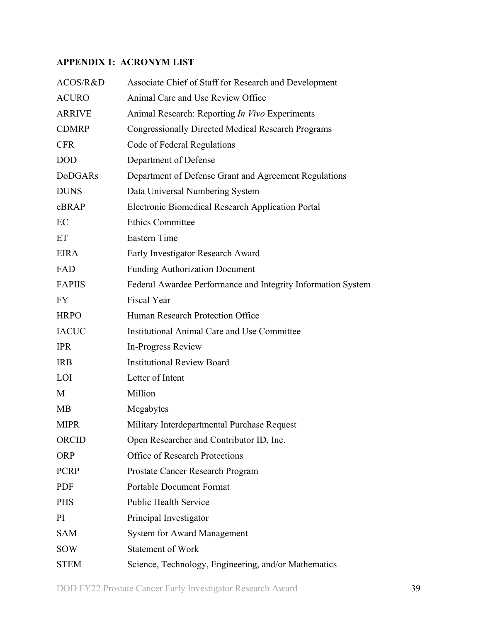## <span id="page-38-0"></span>**APPENDIX 1: ACRONYM LIST**

| ACOS/R&D       | Associate Chief of Staff for Research and Development        |
|----------------|--------------------------------------------------------------|
| <b>ACURO</b>   | Animal Care and Use Review Office                            |
| <b>ARRIVE</b>  | Animal Research: Reporting In Vivo Experiments               |
| <b>CDMRP</b>   | <b>Congressionally Directed Medical Research Programs</b>    |
| <b>CFR</b>     | Code of Federal Regulations                                  |
| <b>DOD</b>     | Department of Defense                                        |
| <b>DoDGARs</b> | Department of Defense Grant and Agreement Regulations        |
| <b>DUNS</b>    | Data Universal Numbering System                              |
| eBRAP          | <b>Electronic Biomedical Research Application Portal</b>     |
| EC             | <b>Ethics Committee</b>                                      |
| ET             | Eastern Time                                                 |
| <b>EIRA</b>    | Early Investigator Research Award                            |
| FAD            | <b>Funding Authorization Document</b>                        |
| <b>FAPIIS</b>  | Federal Awardee Performance and Integrity Information System |
| <b>FY</b>      | <b>Fiscal Year</b>                                           |
| <b>HRPO</b>    | Human Research Protection Office                             |
| <b>IACUC</b>   | Institutional Animal Care and Use Committee                  |
| <b>IPR</b>     | In-Progress Review                                           |
| <b>IRB</b>     | <b>Institutional Review Board</b>                            |
| LOI            | Letter of Intent                                             |
| M              | Million                                                      |
| MB             | Megabytes                                                    |
| <b>MIPR</b>    | Military Interdepartmental Purchase Request                  |
| ORCID          | Open Researcher and Contributor ID, Inc.                     |
| <b>ORP</b>     | <b>Office of Research Protections</b>                        |
| <b>PCRP</b>    | Prostate Cancer Research Program                             |
| PDF            | <b>Portable Document Format</b>                              |
| <b>PHS</b>     | <b>Public Health Service</b>                                 |
| PI             | Principal Investigator                                       |
| <b>SAM</b>     | <b>System for Award Management</b>                           |
| <b>SOW</b>     | <b>Statement of Work</b>                                     |
| <b>STEM</b>    | Science, Technology, Engineering, and/or Mathematics         |